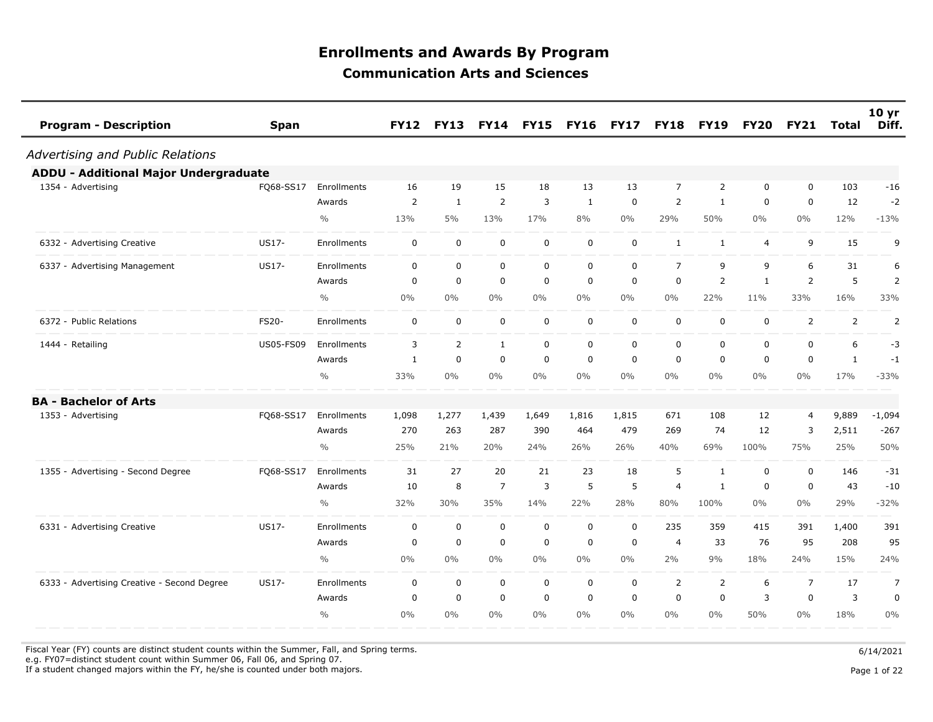| <b>Program - Description</b><br><b>Span</b>          |               | <b>FY12</b>    | <b>FY13</b>    | <b>FY14</b>    | <b>FY15</b> | <b>FY16</b> | <b>FY17</b> | <b>FY18</b>    | <b>FY19</b>    | <b>FY20</b>    | <b>FY21</b>    | <b>Total</b>   | 10 <sub>yr</sub><br>Diff. |
|------------------------------------------------------|---------------|----------------|----------------|----------------|-------------|-------------|-------------|----------------|----------------|----------------|----------------|----------------|---------------------------|
| Advertising and Public Relations                     |               |                |                |                |             |             |             |                |                |                |                |                |                           |
| <b>ADDU - Additional Major Undergraduate</b>         |               |                |                |                |             |             |             |                |                |                |                |                |                           |
| FQ68-SS17<br>1354 - Advertising                      | Enrollments   | 16             | 19             | 15             | 18          | 13          | 13          | $\overline{7}$ | $\overline{2}$ | 0              | $\mathbf 0$    | 103            | $-16$                     |
|                                                      | Awards        | $\overline{2}$ | $\mathbf{1}$   | 2              | 3           | 1           | $\mathbf 0$ | $\overline{2}$ | $\mathbf{1}$   | 0              | $\mathbf 0$    | 12             | $-2$                      |
|                                                      | $\frac{0}{0}$ | 13%            | 5%             | 13%            | 17%         | 8%          | $0\%$       | 29%            | 50%            | $0\%$          | $0\%$          | 12%            | $-13%$                    |
| US17-<br>6332 - Advertising Creative                 | Enrollments   | $\mathbf 0$    | $\mathbf 0$    | $\mathbf 0$    | $\mathbf 0$ | $\mathbf 0$ | $\mathbf 0$ | $\mathbf{1}$   | $\mathbf{1}$   | $\overline{4}$ | 9              | 15             | 9                         |
| 6337 - Advertising Management<br>US17-               | Enrollments   | $\mathbf 0$    | $\mathbf 0$    | $\mathbf 0$    | $\mathbf 0$ | $\mathbf 0$ | $\mathsf 0$ | $\overline{7}$ | 9              | 9              | 6              | 31             | 6                         |
|                                                      | Awards        | 0              | $\mathbf 0$    | $\mathbf 0$    | $\mathbf 0$ | $\mathbf 0$ | $\mathbf 0$ | 0              | $\overline{2}$ | $\mathbf{1}$   | 2              | 5              | 2                         |
|                                                      | $\frac{0}{0}$ | $0\%$          | $0\%$          | $0\%$          | $0\%$       | $0\%$       | $0\%$       | $0\%$          | 22%            | 11%            | 33%            | 16%            | 33%                       |
| <b>FS20-</b><br>6372 - Public Relations              | Enrollments   | $\mathbf 0$    | $\mathbf 0$    | $\pmb{0}$      | $\mathbf 0$ | $\mathbf 0$ | $\mathbf 0$ | $\mathbf 0$    | 0              | 0              | $\overline{2}$ | $\overline{2}$ | $\overline{2}$            |
| <b>US05-FS09</b><br>1444 - Retailing                 | Enrollments   | 3              | $\overline{2}$ | $\mathbf{1}$   | $\mathbf 0$ | $\mathbf 0$ | $\mathbf 0$ | $\mathbf 0$    | 0              | 0              | 0              | 6              | $-3$                      |
|                                                      | Awards        | $\mathbf{1}$   | 0              | 0              | $\mathbf 0$ | $\mathbf 0$ | $\mathbf 0$ | 0              | 0              | 0              | 0              | $\mathbf{1}$   | $-1$                      |
|                                                      | $\frac{0}{0}$ | 33%            | $0\%$          | $0\%$          | $0\%$       | $0\%$       | $0\%$       | $0\%$          | 0%             | $0\%$          | 0%             | 17%            | $-33%$                    |
| <b>BA - Bachelor of Arts</b>                         |               |                |                |                |             |             |             |                |                |                |                |                |                           |
| FQ68-SS17<br>1353 - Advertising                      | Enrollments   | 1,098          | 1,277          | 1,439          | 1,649       | 1,816       | 1,815       | 671            | 108            | 12             | 4              | 9,889          | $-1,094$                  |
|                                                      | Awards        | 270            | 263            | 287            | 390         | 464         | 479         | 269            | 74             | 12             | 3              | 2,511          | $-267$                    |
|                                                      | $\frac{0}{0}$ | 25%            | 21%            | 20%            | 24%         | 26%         | 26%         | 40%            | 69%            | 100%           | 75%            | 25%            | 50%                       |
| 1355 - Advertising - Second Degree<br>FQ68-SS17      | Enrollments   | 31             | 27             | 20             | 21          | 23          | 18          | 5              | $\mathbf{1}$   | 0              | $\mathbf 0$    | 146            | $-31$                     |
|                                                      | Awards        | 10             | 8              | $\overline{7}$ | 3           | 5           | 5           | 4              | $\mathbf{1}$   | 0              | $\mathbf 0$    | 43             | $-10$                     |
|                                                      | $\frac{0}{0}$ | 32%            | 30%            | 35%            | 14%         | 22%         | 28%         | 80%            | 100%           | $0\%$          | $0\%$          | 29%            | $-32%$                    |
| US17-<br>6331 - Advertising Creative                 | Enrollments   | 0              | $\mathbf 0$    | $\mathbf 0$    | $\mathbf 0$ | $\mathbf 0$ | $\mathbf 0$ | 235            | 359            | 415            | 391            | 1,400          | 391                       |
|                                                      | Awards        | 0              | $\mathbf 0$    | $\mathbf 0$    | $\mathbf 0$ | $\mathbf 0$ | 0           | 4              | 33             | 76             | 95             | 208            | 95                        |
|                                                      | $\frac{0}{0}$ | $0\%$          | $0\%$          | $0\%$          | $0\%$       | $0\%$       | $0\%$       | 2%             | 9%             | 18%            | 24%            | 15%            | 24%                       |
| 6333 - Advertising Creative - Second Degree<br>US17- | Enrollments   | $\mathbf 0$    | $\mathbf 0$    | $\mathbf 0$    | $\mathbf 0$ | $\mathbf 0$ | $\mathbf 0$ | 2              | $\overline{2}$ | 6              | $\overline{7}$ | 17             | $\overline{7}$            |
|                                                      | Awards        | $\mathbf 0$    | $\mathbf 0$    | $\mathbf 0$    | $\mathbf 0$ | $\mathbf 0$ | 0           | 0              | $\mathbf 0$    | 3              | 0              | 3              | $\pmb{0}$                 |
|                                                      | $\frac{0}{0}$ | $0\%$          | $0\%$          | $0\%$          | $0\%$       | $0\%$       | $0\%$       | $0\%$          | $0\%$          | 50%            | $0\%$          | 18%            | $0\%$                     |

Fiscal Year (FY) counts are distinct student counts within the Summer, Fall, and Spring terms.  $6/14/2021$ 

 e.g. FY07=distinct student count within Summer 06, Fall 06, and Spring 07. If a student changed majors within the FY, he/she is counted under both majors. Page 1 of 22

Page 1 of 22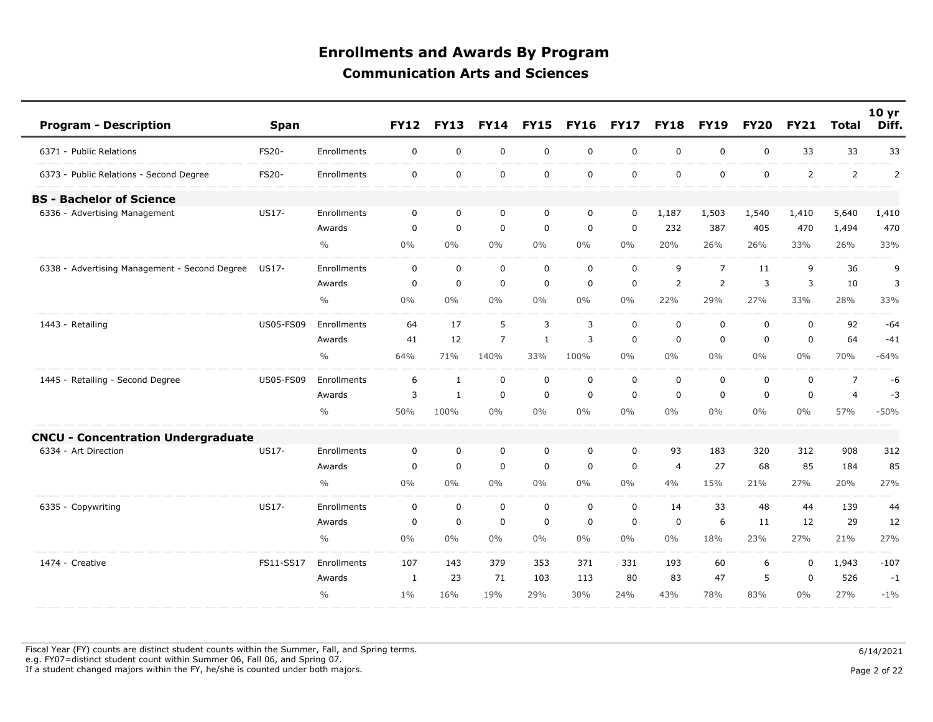| <b>Program - Description</b>                  | <b>Span</b>      |               | <b>FY12</b>  | <b>FY13</b>  | <b>FY14</b>    | <b>FY15</b>  | <b>FY16</b> | <b>FY17</b> | <b>FY18</b>    | <b>FY19</b>    | <b>FY20</b> | <b>FY21</b>    | <b>Total</b>   | 10 <sub>yr</sub><br>Diff. |
|-----------------------------------------------|------------------|---------------|--------------|--------------|----------------|--------------|-------------|-------------|----------------|----------------|-------------|----------------|----------------|---------------------------|
| 6371 - Public Relations                       | FS20-            | Enrollments   | 0            | $\mathbf 0$  | $\mathsf 0$    | $\mathbf 0$  | $\mathbf 0$ | $\mathsf 0$ | $\mathbf 0$    | $\mathbf 0$    | 0           | 33             | 33             | 33                        |
| 6373 - Public Relations - Second Degree       | FS20-            | Enrollments   | 0            | $\mathbf 0$  | $\mathsf 0$    | $\mathbf 0$  | $\mathbf 0$ | $\mathbf 0$ | $\mathbf 0$    | $\mathbf 0$    | 0           | $\overline{2}$ | $\overline{2}$ | $\overline{2}$            |
| <b>BS</b> - Bachelor of Science               |                  |               |              |              |                |              |             |             |                |                |             |                |                |                           |
| 6336 - Advertising Management                 | US17-            | Enrollments   | $\mathbf 0$  | $\mathbf 0$  | $\mathbf 0$    | $\mathbf 0$  | $\mathbf 0$ | $\mathbf 0$ | 1,187          | 1,503          | 1,540       | 1,410          | 5,640          | 1,410                     |
|                                               |                  | Awards        | 0            | $\mathbf 0$  | $\mathbf 0$    | $\mathbf 0$  | $\mathbf 0$ | $\mathbf 0$ | 232            | 387            | 405         | 470            | 1,494          | 470                       |
|                                               |                  | $\frac{0}{0}$ | 0%           | $0\%$        | 0%             | $0\%$        | $0\%$       | $0\%$       | 20%            | 26%            | 26%         | 33%            | 26%            | 33%                       |
| 6338 - Advertising Management - Second Degree | US17-            | Enrollments   | $\Omega$     | $\mathbf 0$  | $\mathbf 0$    | $\mathbf 0$  | $\mathbf 0$ | $\mathbf 0$ | 9              | $\overline{7}$ | 11          | 9              | 36             | 9                         |
|                                               |                  | Awards        | $\mathbf 0$  | $\mathbf 0$  | $\mathbf 0$    | 0            | $\mathbf 0$ | $\mathbf 0$ | $\overline{2}$ | $\overline{2}$ | 3           | 3              | 10             | 3                         |
|                                               |                  | $\frac{0}{0}$ | 0%           | $0\%$        | $0\%$          | $0\%$        | $0\%$       | $0\%$       | 22%            | 29%            | 27%         | 33%            | 28%            | 33%                       |
| 1443 - Retailing                              | <b>US05-FS09</b> | Enrollments   | 64           | 17           | 5              | 3            | 3           | $\mathbf 0$ | $\mathbf 0$    | $\mathbf 0$    | 0           | $\mathbf 0$    | 92             | $-64$                     |
|                                               |                  | Awards        | 41           | 12           | $\overline{7}$ | $\mathbf{1}$ | 3           | $\mathbf 0$ | $\mathbf 0$    | $\Omega$       | $\Omega$    | $\Omega$       | 64             | $-41$                     |
|                                               |                  | $\frac{0}{0}$ | 64%          | 71%          | 140%           | 33%          | 100%        | $0\%$       | $0\%$          | $0\%$          | $0\%$       | 0%             | 70%            | $-64%$                    |
| 1445 - Retailing - Second Degree              | <b>US05-FS09</b> | Enrollments   | 6            | 1            | $\mathbf 0$    | $\mathbf 0$  | $\mathbf 0$ | $\mathbf 0$ | $\mathbf 0$    | $\mathbf 0$    | 0           | $\mathbf 0$    | $\overline{7}$ | -6                        |
|                                               |                  | Awards        | 3            | $\mathbf{1}$ | $\mathbf 0$    | $\mathbf 0$  | $\mathbf 0$ | $\mathbf 0$ | $\mathbf 0$    | $\mathbf 0$    | $\mathbf 0$ | $\mathbf 0$    | $\overline{4}$ | $-3$                      |
|                                               |                  | $\frac{0}{0}$ | 50%          | 100%         | 0%             | $0\%$        | 0%          | $0\%$       | $0\%$          | $0\%$          | $0\%$       | $0\%$          | 57%            | $-50%$                    |
| <b>CNCU - Concentration Undergraduate</b>     |                  |               |              |              |                |              |             |             |                |                |             |                |                |                           |
| 6334 - Art Direction                          | US17-            | Enrollments   | 0            | $\mathbf 0$  | $\mathbf 0$    | 0            | 0           | $\mathbf 0$ | 93             | 183            | 320         | 312            | 908            | 312                       |
|                                               |                  | Awards        | $\mathbf 0$  | $\mathbf 0$  | $\mathbf 0$    | $\mathbf 0$  | $\mathbf 0$ | $\mathbf 0$ | $\overline{4}$ | 27             | 68          | 85             | 184            | 85                        |
|                                               |                  | $\frac{0}{0}$ | 0%           | $0\%$        | $0\%$          | $0\%$        | $0\%$       | $0\%$       | 4%             | 15%            | 21%         | 27%            | 20%            | 27%                       |
| 6335 - Copywriting                            | <b>US17-</b>     | Enrollments   | $\mathbf 0$  | $\mathbf 0$  | $\mathbf 0$    | $\mathbf 0$  | $\mathbf 0$ | $\mathbf 0$ | 14             | 33             | 48          | 44             | 139            | 44                        |
|                                               |                  | Awards        | 0            | $\mathbf 0$  | $\mathbf 0$    | $\mathbf 0$  | 0           | $\mathbf 0$ | 0              | 6              | 11          | 12             | 29             | 12                        |
|                                               |                  | $\frac{0}{0}$ | $0\%$        | $0\%$        | $0\%$          | $0\%$        | $0\%$       | $0\%$       | $0\%$          | 18%            | 23%         | 27%            | 21%            | 27%                       |
| 1474 - Creative                               | FS11-SS17        | Enrollments   | 107          | 143          | 379            | 353          | 371         | 331         | 193            | 60             | 6           | 0              | 1,943          | $-107$                    |
|                                               |                  | Awards        | $\mathbf{1}$ | 23           | 71             | 103          | 113         | 80          | 83             | 47             | 5           | $\mathbf 0$    | 526            | $-1$                      |
|                                               |                  | $\frac{0}{0}$ | $1\%$        | 16%          | 19%            | 29%          | 30%         | 24%         | 43%            | 78%            | 83%         | $0\%$          | 27%            | $-1\%$                    |

Fiscal Year (FY) counts are distinct student counts within the Summer, Fall, and Spring terms.  $6/14/2021$  e.g. FY07=distinct student count within Summer 06, Fall 06, and Spring 07. If a student changed majors within the FY, he/she is counted under both majors. Page 2 of 22 page 2 of 22 page 2 of 22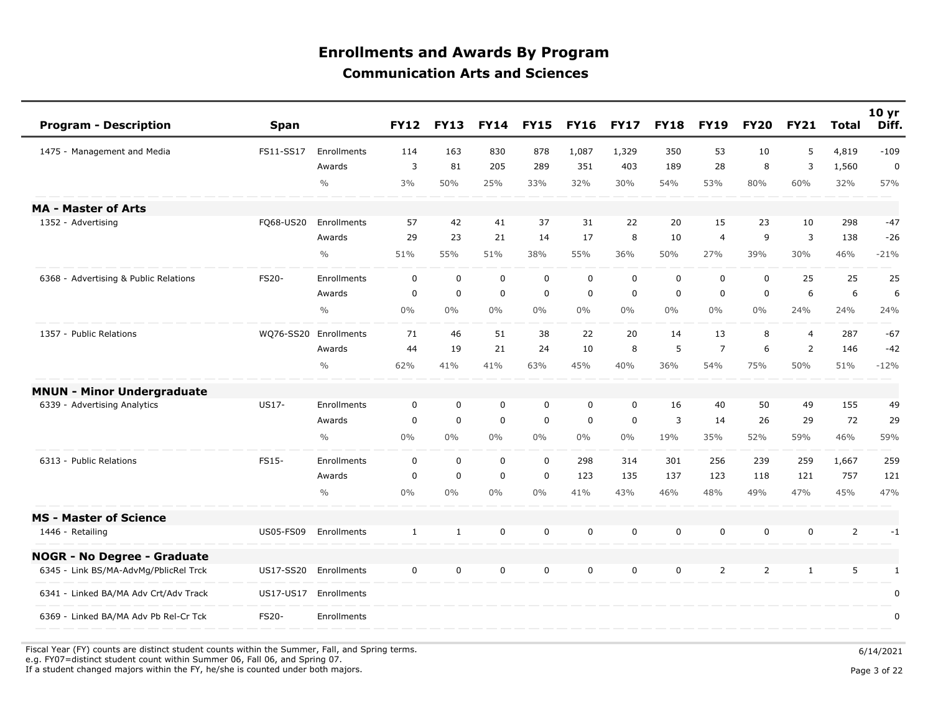| <b>Program - Description</b>          | <b>Span</b>      |               | <b>FY12</b> | <b>FY13</b>  | <b>FY14</b> | <b>FY15</b> | <b>FY16</b> | <b>FY17</b> | <b>FY18</b> | <b>FY19</b>    | <b>FY20</b> | <b>FY21</b> | <b>Total</b>   | 10 yr<br>Diff. |
|---------------------------------------|------------------|---------------|-------------|--------------|-------------|-------------|-------------|-------------|-------------|----------------|-------------|-------------|----------------|----------------|
| 1475 - Management and Media           | FS11-SS17        | Enrollments   | 114         | 163          | 830         | 878         | 1,087       | 1,329       | 350         | 53             | 10          | 5           | 4,819          | $-109$         |
|                                       |                  | Awards        | 3           | 81           | 205         | 289         | 351         | 403         | 189         | 28             | 8           | 3           | 1,560          | $\mathbf 0$    |
|                                       |                  | $\frac{0}{0}$ | 3%          | 50%          | 25%         | 33%         | 32%         | 30%         | 54%         | 53%            | 80%         | 60%         | 32%            | 57%            |
| <b>MA - Master of Arts</b>            |                  |               |             |              |             |             |             |             |             |                |             |             |                |                |
| 1352 - Advertising                    | FQ68-US20        | Enrollments   | 57          | 42           | 41          | 37          | 31          | 22          | 20          | 15             | 23          | 10          | 298            | $-47$          |
|                                       |                  | Awards        | 29          | 23           | 21          | 14          | 17          | 8           | 10          | $\overline{4}$ | 9           | 3           | 138            | $-26$          |
|                                       |                  | $\frac{0}{0}$ | 51%         | 55%          | 51%         | 38%         | 55%         | 36%         | 50%         | 27%            | 39%         | 30%         | 46%            | $-21%$         |
| 6368 - Advertising & Public Relations | FS20-            | Enrollments   | $\mathbf 0$ | $\mathbf 0$  | $\mathbf 0$ | $\mathbf 0$ | $\mathbf 0$ | 0           | $\mathbf 0$ | $\mathbf 0$    | 0           | 25          | 25             | 25             |
|                                       |                  | Awards        | $\mathbf 0$ | $\mathbf 0$  | $\mathbf 0$ | $\mathsf 0$ | $\mathbf 0$ | $\mathbf 0$ | $\mathbf 0$ | $\mathbf 0$    | $\mathbf 0$ | 6           | 6              | 6              |
|                                       |                  | $\frac{0}{0}$ | $0\%$       | $0\%$        | $0\%$       | $0\%$       | $0\%$       | $0\%$       | $0\%$       | $0\%$          | $0\%$       | 24%         | 24%            | 24%            |
| 1357 - Public Relations               | WQ76-SS20        | Enrollments   | 71          | 46           | 51          | 38          | 22          | 20          | 14          | 13             | 8           | 4           | 287            | $-67$          |
|                                       |                  | Awards        | 44          | 19           | 21          | 24          | 10          | 8           | 5           | $\overline{7}$ | 6           | 2           | 146            | $-42$          |
|                                       |                  | $\frac{0}{0}$ | 62%         | 41%          | 41%         | 63%         | 45%         | 40%         | 36%         | 54%            | 75%         | 50%         | 51%            | $-12%$         |
| <b>MNUN - Minor Undergraduate</b>     |                  |               |             |              |             |             |             |             |             |                |             |             |                |                |
| 6339 - Advertising Analytics          | US17-            | Enrollments   | $\mathbf 0$ | $\mathbf 0$  | $\mathbf 0$ | $\mathsf 0$ | 0           | 0           | 16          | 40             | 50          | 49          | 155            | 49             |
|                                       |                  | Awards        | $\mathbf 0$ | $\mathbf 0$  | $\mathbf 0$ | $\mathbf 0$ | $\mathbf 0$ | $\mathbf 0$ | 3           | 14             | 26          | 29          | 72             | 29             |
|                                       |                  | $\frac{0}{0}$ | $0\%$       | $0\%$        | $0\%$       | $0\%$       | $0\%$       | $0\%$       | 19%         | 35%            | 52%         | 59%         | 46%            | 59%            |
| 6313 - Public Relations               | FS15-            | Enrollments   | $\mathbf 0$ | $\mathbf 0$  | $\mathbf 0$ | 0           | 298         | 314         | 301         | 256            | 239         | 259         | 1,667          | 259            |
|                                       |                  | Awards        | 0           | $\mathbf 0$  | $\mathbf 0$ | $\mathsf 0$ | 123         | 135         | 137         | 123            | 118         | 121         | 757            | 121            |
|                                       |                  | $\frac{0}{0}$ | $0\%$       | $0\%$        | $0\%$       | $0\%$       | 41%         | 43%         | 46%         | 48%            | 49%         | 47%         | 45%            | 47%            |
| <b>MS - Master of Science</b>         |                  |               |             |              |             |             |             |             |             |                |             |             |                |                |
| 1446 - Retailing                      | <b>US05-FS09</b> | Enrollments   | 1           | $\mathbf{1}$ | $\mathsf 0$ | $\mathsf 0$ | 0           | 0           | $\mathbf 0$ | 0              | 0           | $\mathbf 0$ | $\overline{2}$ | $-1$           |
| <b>NOGR - No Degree - Graduate</b>    |                  |               |             |              |             |             |             |             |             |                |             |             |                |                |
| 6345 - Link BS/MA-AdvMg/PblicRel Trck | US17-SS20        | Enrollments   | $\mathbf 0$ | $\mathbf 0$  | $\mathbf 0$ | 0           | $\mathbf 0$ | $\mathbf 0$ | $\mathbf 0$ | 2              | 2           | 1           | 5              | $\mathbf{1}$   |
| 6341 - Linked BA/MA Adv Crt/Adv Track | US17-US17        | Enrollments   |             |              |             |             |             |             |             |                |             |             |                | 0              |
| 6369 - Linked BA/MA Adv Pb Rel-Cr Tck | <b>FS20-</b>     | Enrollments   |             |              |             |             |             |             |             |                |             |             |                | 0              |

Fiscal Year (FY) counts are distinct student counts within the Summer, Fall, and Spring terms.  $6/14/2021$  e.g. FY07=distinct student count within Summer 06, Fall 06, and Spring 07. If a student changed majors within the FY, he/she is counted under both majors. Page 3 of 22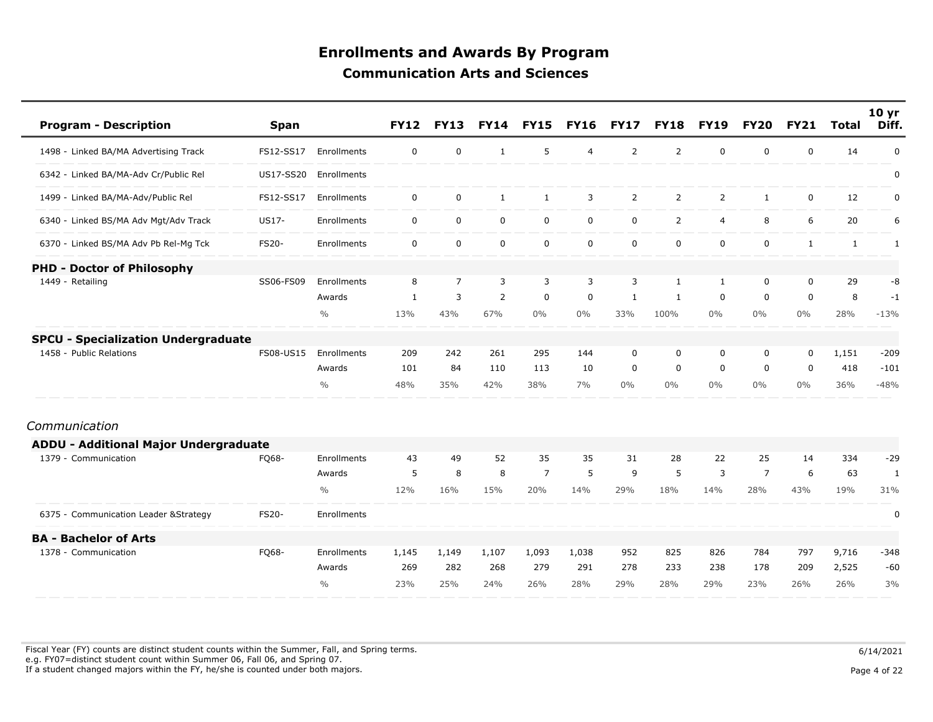| <b>Program - Description</b>               | <b>Span</b>  |               | <b>FY12</b>  | <b>FY13</b>    | <b>FY14</b>  | <b>FY15</b>    | <b>FY16</b>    | <b>FY17</b>    | <b>FY18</b>    | <b>FY19</b>    | <b>FY20</b>    | <b>FY21</b>  | <b>Total</b> | 10 yr<br>Diff. |
|--------------------------------------------|--------------|---------------|--------------|----------------|--------------|----------------|----------------|----------------|----------------|----------------|----------------|--------------|--------------|----------------|
| 1498 - Linked BA/MA Advertising Track      | FS12-SS17    | Enrollments   | 0            | $\mathbf 0$    | $\mathbf{1}$ | 5              | $\overline{4}$ | 2              | 2              | $\mathbf 0$    | 0              | $\mathbf 0$  | 14           | $\pmb{0}$      |
| 6342 - Linked BA/MA-Adv Cr/Public Rel      | US17-SS20    | Enrollments   |              |                |              |                |                |                |                |                |                |              |              | 0              |
| 1499 - Linked BA/MA-Adv/Public Rel         | FS12-SS17    | Enrollments   | 0            | $\mathbf 0$    | $\mathbf{1}$ | $\mathbf{1}$   | 3              | $\overline{2}$ | $\overline{2}$ | $\overline{2}$ | $\mathbf{1}$   | 0            | 12           | $\pmb{0}$      |
| 6340 - Linked BS/MA Adv Mgt/Adv Track      | US17-        | Enrollments   | $\mathbf 0$  | $\mathbf 0$    | $\mathbf 0$  | $\mathbf 0$    | $\mathbf 0$    | $\mathbf 0$    | $\overline{2}$ | $\overline{4}$ | 8              | 6            | 20           | 6              |
| 6370 - Linked BS/MA Adv Pb Rel-Mg Tck      | <b>FS20-</b> | Enrollments   | $\mathbf 0$  | $\mathbf 0$    | $\mathbf 0$  | $\mathbf 0$    | $\mathbf 0$    | $\mathbf 0$    | $\mathbf 0$    | $\mathbf 0$    | 0              | $\mathbf{1}$ | $\mathbf{1}$ | 1              |
| <b>PHD - Doctor of Philosophy</b>          |              |               |              |                |              |                |                |                |                |                |                |              |              |                |
| 1449 - Retailing                           | SS06-FS09    | Enrollments   | 8            | $\overline{7}$ | 3            | 3              | 3              | 3              | $\mathbf{1}$   | $\mathbf{1}$   | 0              | $\mathbf 0$  | 29           | -8             |
|                                            |              | Awards        | $\mathbf{1}$ | 3              | 2            | $\mathbf 0$    | $\mathbf 0$    | $\mathbf{1}$   | $\mathbf{1}$   | $\Omega$       | $\mathbf 0$    | $\Omega$     | 8            | $-1$           |
|                                            |              | $\frac{0}{0}$ | 13%          | 43%            | 67%          | $0\%$          | $0\%$          | 33%            | 100%           | $0\%$          | $0\%$          | $0\%$        | 28%          | $-13%$         |
| <b>SPCU - Specialization Undergraduate</b> |              |               |              |                |              |                |                |                |                |                |                |              |              |                |
| 1458 - Public Relations                    | FS08-US15    | Enrollments   | 209          | 242            | 261          | 295            | 144            | $\mathbf 0$    | 0              | 0              | 0              | $\mathbf 0$  | 1,151        | $-209$         |
|                                            |              | Awards        | 101          | 84             | 110          | 113            | 10             | $\mathbf 0$    | 0              | $\mathbf 0$    | 0              | $\mathbf 0$  | 418          | $-101$         |
|                                            |              | $\frac{0}{0}$ | 48%          | 35%            | 42%          | 38%            | 7%             | $0\%$          | $0\%$          | $0\%$          | $0\%$          | 0%           | 36%          | $-48%$         |
| Communication                              |              |               |              |                |              |                |                |                |                |                |                |              |              |                |
| ADDU - Additional Major Undergraduate      |              |               |              |                |              |                |                |                |                |                |                |              |              |                |
| 1379 - Communication                       | FQ68-        | Enrollments   | 43           | 49             | 52           | 35             | 35             | 31             | 28             | 22             | 25             | 14           | 334          | $-29$          |
|                                            |              | Awards        | 5            | 8              | 8            | $\overline{7}$ | 5              | 9              | 5              | 3              | $\overline{7}$ | 6            | 63           | $\mathbf{1}$   |
|                                            |              | $\frac{0}{0}$ | 12%          | 16%            | 15%          | 20%            | 14%            | 29%            | 18%            | 14%            | 28%            | 43%          | 19%          | 31%            |
| 6375 - Communication Leader & Strategy     | FS20-        | Enrollments   |              |                |              |                |                |                |                |                |                |              |              | 0              |
| <b>BA - Bachelor of Arts</b>               |              |               |              |                |              |                |                |                |                |                |                |              |              |                |
| 1378 - Communication                       | FQ68-        | Enrollments   | 1,145        | 1,149          | 1,107        | 1,093          | 1,038          | 952            | 825            | 826            | 784            | 797          | 9,716        | $-348$         |
|                                            |              | Awards        | 269          | 282            | 268          | 279            | 291            | 278            | 233            | 238            | 178            | 209          | 2,525        | $-60$          |
|                                            |              | $\frac{0}{0}$ | 23%          | 25%            | 24%          | 26%            | 28%            | 29%            | 28%            | 29%            | 23%            | 26%          | 26%          | 3%             |

Fiscal Year (FY) counts are distinct student counts within the Summer, Fall, and Spring terms.  $6/14/2021$  e.g. FY07=distinct student count within Summer 06, Fall 06, and Spring 07. If a student changed majors within the FY, he/she is counted under both majors. Page 4 of 22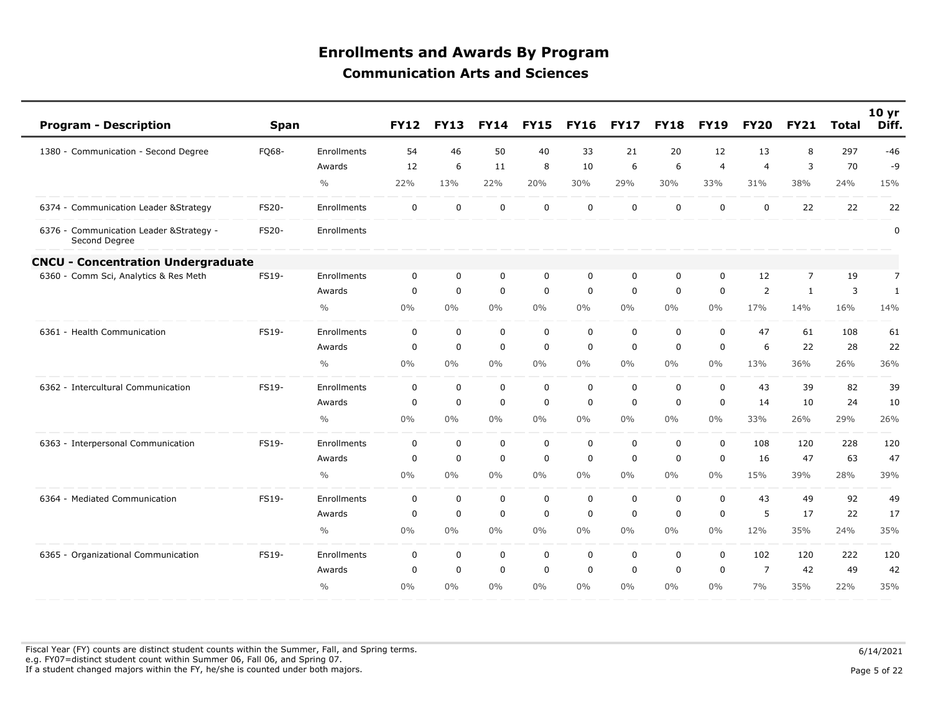| <b>Program - Description</b>                              | <b>Span</b> |               | <b>FY12</b> | <b>FY13</b> | <b>FY14</b> | <b>FY15</b> | <b>FY16</b> | <b>FY17</b> | <b>FY18</b> | <b>FY19</b>    | <b>FY20</b>    | <b>FY21</b>    | Total | 10 <sub>yr</sub><br>Diff. |
|-----------------------------------------------------------|-------------|---------------|-------------|-------------|-------------|-------------|-------------|-------------|-------------|----------------|----------------|----------------|-------|---------------------------|
| 1380 - Communication - Second Degree                      | FQ68-       | Enrollments   | 54          | 46          | 50          | 40          | 33          | 21          | 20          | 12             | 13             | 8              | 297   | $-46$                     |
|                                                           |             | Awards        | 12          | 6           | 11          | 8           | 10          | 6           | 6           | $\overline{4}$ | $\overline{4}$ | 3              | 70    | -9                        |
|                                                           |             | $\frac{0}{0}$ | 22%         | 13%         | 22%         | 20%         | 30%         | 29%         | 30%         | 33%            | 31%            | 38%            | 24%   | 15%                       |
| 6374 - Communication Leader & Strategy                    | FS20-       | Enrollments   | 0           | 0           | $\mathbf 0$ | 0           | $\mathbf 0$ | $\mathbf 0$ | $\mathbf 0$ | 0              | 0              | 22             | 22    | 22                        |
| 6376 - Communication Leader & Strategy -<br>Second Degree | FS20-       | Enrollments   |             |             |             |             |             |             |             |                |                |                |       | $\mathbf 0$               |
| <b>CNCU - Concentration Undergraduate</b>                 |             |               |             |             |             |             |             |             |             |                |                |                |       |                           |
| 6360 - Comm Sci, Analytics & Res Meth                     | FS19-       | Enrollments   | $\mathbf 0$ | $\mathbf 0$ | $\mathbf 0$ | $\mathbf 0$ | $\mathbf 0$ | $\mathbf 0$ | $\mathbf 0$ | $\mathbf 0$    | 12             | $\overline{7}$ | 19    | $\overline{7}$            |
|                                                           |             | Awards        | $\Omega$    | $\mathbf 0$ | $\mathbf 0$ | $\mathbf 0$ | $\mathbf 0$ | $\mathbf 0$ | $\mathbf 0$ | $\mathbf 0$    | $\overline{2}$ | $\mathbf{1}$   | 3     | $\mathbf{1}$              |
|                                                           |             | $\frac{0}{0}$ | $0\%$       | 0%          | 0%          | 0%          | $0\%$       | $0\%$       | $0\%$       | $0\%$          | 17%            | 14%            | 16%   | 14%                       |
| 6361 - Health Communication                               | FS19-       | Enrollments   | $\mathbf 0$ | $\mathbf 0$ | $\mathbf 0$ | $\mathbf 0$ | $\mathbf 0$ | $\mathbf 0$ | $\mathbf 0$ | $\mathbf 0$    | 47             | 61             | 108   | 61                        |
|                                                           |             | Awards        | $\mathbf 0$ | $\mathbf 0$ | $\mathbf 0$ | $\mathbf 0$ | $\mathbf 0$ | $\Omega$    | $\mathbf 0$ | $\mathbf 0$    | 6              | 22             | 28    | 22                        |
|                                                           |             | $\frac{0}{0}$ | $0\%$       | $0\%$       | $0\%$       | $0\%$       | 0%          | $0\%$       | $0\%$       | $0\%$          | 13%            | 36%            | 26%   | 36%                       |
| 6362 - Intercultural Communication                        | FS19-       | Enrollments   | $\mathbf 0$ | $\mathbf 0$ | $\mathbf 0$ | $\mathbf 0$ | $\mathbf 0$ | $\mathbf 0$ | $\mathbf 0$ | $\mathbf 0$    | 43             | 39             | 82    | 39                        |
|                                                           |             | Awards        | 0           | 0           | $\mathbf 0$ | $\mathbf 0$ | $\mathbf 0$ | $\mathbf 0$ | $\mathbf 0$ | $\mathbf 0$    | 14             | 10             | 24    | 10                        |
|                                                           |             | $\frac{0}{0}$ | 0%          | 0%          | $0\%$       | $0\%$       | $0\%$       | $0\%$       | $0\%$       | $0\%$          | 33%            | 26%            | 29%   | 26%                       |
| 6363 - Interpersonal Communication                        | FS19-       | Enrollments   | $\mathbf 0$ | $\mathbf 0$ | $\mathbf 0$ | 0           | $\mathbf 0$ | $\mathbf 0$ | $\mathbf 0$ | $\mathbf 0$    | 108            | 120            | 228   | 120                       |
|                                                           |             | Awards        | 0           | 0           | $\mathbf 0$ | $\mathbf 0$ | $\mathbf 0$ | 0           | $\mathbf 0$ | $\mathbf 0$    | 16             | 47             | 63    | 47                        |
|                                                           |             | $\frac{0}{0}$ | $0\%$       | 0%          | 0%          | 0%          | 0%          | 0%          | $0\%$       | $0\%$          | 15%            | 39%            | 28%   | 39%                       |
| 6364 - Mediated Communication                             | FS19-       | Enrollments   | 0           | 0           | $\mathbf 0$ | 0           | $\mathbf 0$ | $\mathbf 0$ | $\mathbf 0$ | $\mathbf 0$    | 43             | 49             | 92    | 49                        |
|                                                           |             | Awards        | 0           | $\mathbf 0$ | $\mathbf 0$ | $\mathbf 0$ | $\mathbf 0$ | 0           | $\mathbf 0$ | $\mathbf 0$    | 5              | 17             | 22    | 17                        |
|                                                           |             | $\frac{0}{0}$ | $0\%$       | $0\%$       | $0\%$       | $0\%$       | 0%          | $0\%$       | $0\%$       | $0\%$          | 12%            | 35%            | 24%   | 35%                       |
| 6365 - Organizational Communication                       | FS19-       | Enrollments   | 0           | $\mathbf 0$ | $\mathbf 0$ | 0           | $\mathbf 0$ | $\mathbf 0$ | $\mathbf 0$ | $\mathbf 0$    | 102            | 120            | 222   | 120                       |
|                                                           |             | Awards        | $\Omega$    | $\mathbf 0$ | $\mathbf 0$ | $\mathbf 0$ | $\mathbf 0$ | $\mathbf 0$ | $\mathbf 0$ | $\mathbf 0$    | $\overline{7}$ | 42             | 49    | 42                        |
|                                                           |             | $\frac{0}{0}$ | $0\%$       | $0\%$       | 0%          | $0\%$       | 0%          | $0\%$       | 0%          | $0\%$          | 7%             | 35%            | 22%   | 35%                       |

Fiscal Year (FY) counts are distinct student counts within the Summer, Fall, and Spring terms.  $6/14/2021$  e.g. FY07=distinct student count within Summer 06, Fall 06, and Spring 07. If a student changed majors within the FY, he/she is counted under both majors. Page 5 of 22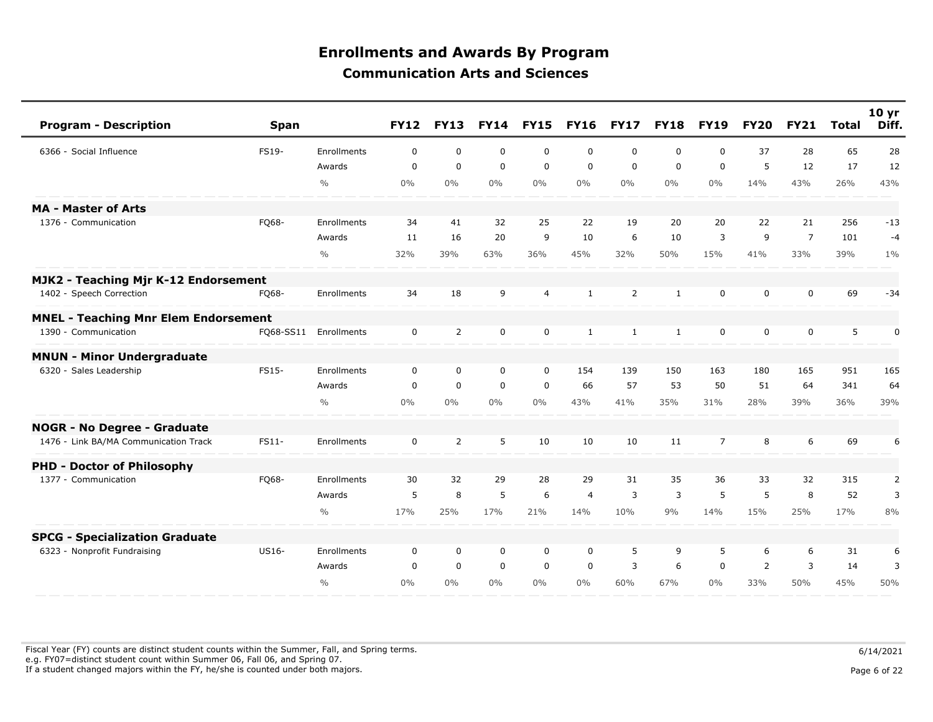| <b>Program - Description</b>                | <b>Span</b>  |                    | <b>FY12</b>  | <b>FY13</b>    |             | <b>FY14 FY15</b> | <b>FY16</b>    | <b>FY17</b>  | <b>FY18</b>  | <b>FY19</b>    | <b>FY20</b> | <b>FY21</b>    | <b>Total</b> | 10 <sub>yr</sub><br>Diff. |
|---------------------------------------------|--------------|--------------------|--------------|----------------|-------------|------------------|----------------|--------------|--------------|----------------|-------------|----------------|--------------|---------------------------|
| 6366 - Social Influence                     | FS19-        | Enrollments        | $\mathbf 0$  | $\mathbf 0$    | $\mathbf 0$ | $\mathbf 0$      | $\mathbf 0$    | $\mathbf 0$  | 0            | $\Omega$       | 37          | 28             | 65           | 28                        |
|                                             |              | Awards             | $\mathbf 0$  | $\mathbf 0$    | $\mathbf 0$ | $\mathbf 0$      | $\mathbf 0$    | $\mathbf 0$  | $\mathbf 0$  | $\mathbf 0$    | 5           | 12             | 17           | 12                        |
|                                             |              | $\frac{0}{0}$      | $0\%$        | $0\%$          | $0\%$       | $0\%$            | $0\%$          | $0\%$        | $0\%$        | 0%             | 14%         | 43%            | 26%          | 43%                       |
| <b>MA - Master of Arts</b>                  |              |                    |              |                |             |                  |                |              |              |                |             |                |              |                           |
| 1376 - Communication                        | FQ68-        | <b>Enrollments</b> | 34           | 41             | 32          | 25               | 22             | 19           | 20           | 20             | 22          | 21             | 256          | $-13$                     |
|                                             |              | Awards             | 11           | 16             | 20          | 9                | 10             | 6            | 10           | 3              | 9           | $\overline{7}$ | 101          | $-4$                      |
|                                             |              | $\frac{0}{0}$      | 32%          | 39%            | 63%         | 36%              | 45%            | 32%          | 50%          | 15%            | 41%         | 33%            | 39%          | $1\%$                     |
| MJK2 - Teaching Mjr K-12 Endorsement        |              |                    |              |                |             |                  |                |              |              |                |             |                |              |                           |
| 1402 - Speech Correction                    | FQ68-        | Enrollments        | 34           | 18             | 9           | $\overline{4}$   | $\mathbf{1}$   | 2            | $\mathbf{1}$ | $\Omega$       | $\Omega$    | $\Omega$       | 69           | $-34$                     |
| <b>MNEL - Teaching Mnr Elem Endorsement</b> |              |                    |              |                |             |                  |                |              |              |                |             |                |              |                           |
| 1390 - Communication                        | F068-SS11    | Enrollments        | $\mathbf 0$  | $\overline{2}$ | $\mathbf 0$ | $\mathbf 0$      | $\mathbf{1}$   | $\mathbf{1}$ | $\mathbf{1}$ | $\mathbf 0$    | 0           | $\mathbf 0$    | 5            | $\pmb{0}$                 |
| <b>MNUN - Minor Undergraduate</b>           |              |                    |              |                |             |                  |                |              |              |                |             |                |              |                           |
| 6320 - Sales Leadership                     | <b>FS15-</b> | Enrollments        | $\Omega$     | 0              | 0           | $\mathbf 0$      | 154            | 139          | 150          | 163            | 180         | 165            | 951          | 165                       |
|                                             |              | Awards             | $\mathbf{0}$ | $\mathbf 0$    | $\mathbf 0$ | $\mathbf 0$      | 66             | 57           | 53           | 50             | 51          | 64             | 341          | 64                        |
|                                             |              | $\frac{0}{0}$      | $0\%$        | $0\%$          | $0\%$       | $0\%$            | 43%            | 41%          | 35%          | 31%            | 28%         | 39%            | 36%          | 39%                       |
| <b>NOGR - No Degree - Graduate</b>          |              |                    |              |                |             |                  |                |              |              |                |             |                |              |                           |
| 1476 - Link BA/MA Communication Track       | FS11-        | Enrollments        | $\mathbf 0$  | 2              | 5           | 10               | 10             | 10           | 11           | $\overline{7}$ | 8           | 6              | 69           | 6                         |
| <b>PHD - Doctor of Philosophy</b>           |              |                    |              |                |             |                  |                |              |              |                |             |                |              |                           |
| 1377 - Communication                        | FQ68-        | Enrollments        | 30           | 32             | 29          | 28               | 29             | 31           | 35           | 36             | 33          | 32             | 315          | 2                         |
|                                             |              | Awards             | 5            | 8              | 5           | 6                | $\overline{4}$ | 3            | 3            | 5              | 5           | 8              | 52           | 3                         |
|                                             |              | $\frac{0}{0}$      | 17%          | 25%            | 17%         | 21%              | 14%            | 10%          | 9%           | 14%            | 15%         | 25%            | 17%          | 8%                        |
| <b>SPCG - Specialization Graduate</b>       |              |                    |              |                |             |                  |                |              |              |                |             |                |              |                           |
| 6323 - Nonprofit Fundraising                | US16-        | <b>Enrollments</b> | 0            | 0              | 0           | $\mathbf 0$      | $\mathbf 0$    | 5            | 9            | 5              | 6           | 6              | 31           | 6                         |
|                                             |              | Awards             | $\Omega$     | $\mathbf 0$    | $\mathbf 0$ | $\mathbf 0$      | $\mathbf 0$    | 3            | 6            | $\mathbf 0$    | 2           | 3              | 14           | 3                         |
|                                             |              | 0/0                | 0%           | $0\%$          | $0\%$       | $0\%$            | $0\%$          | 60%          | 67%          | $0\%$          | 33%         | 50%            | 45%          | 50%                       |

Fiscal Year (FY) counts are distinct student counts within the Summer, Fall, and Spring terms.  $6/14/2021$  e.g. FY07=distinct student count within Summer 06, Fall 06, and Spring 07. If a student changed majors within the FY, he/she is counted under both majors. Page 6 of 22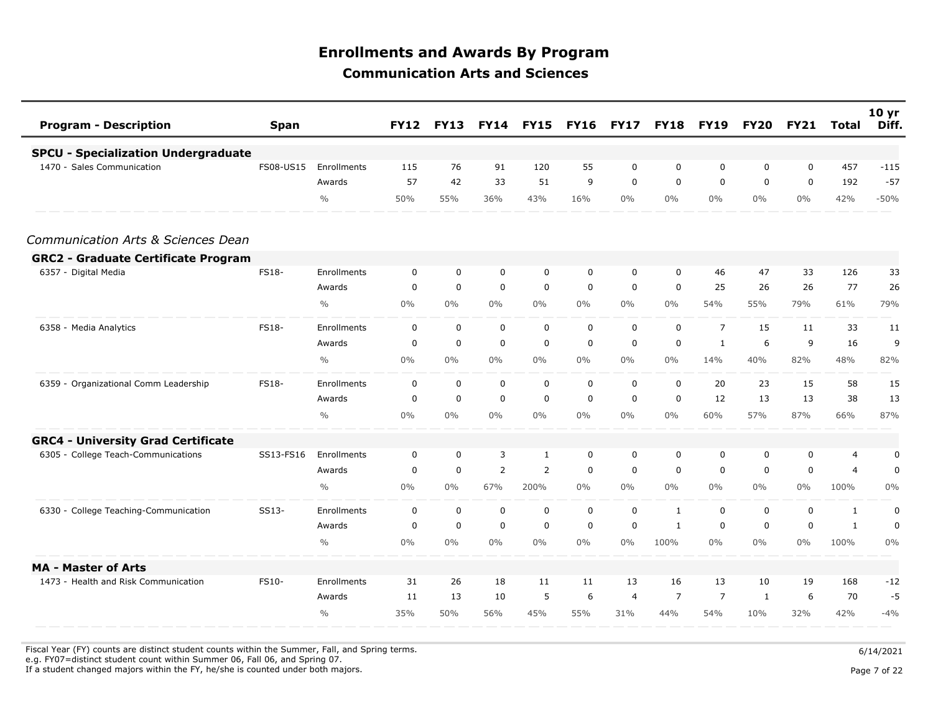| <b>Program - Description</b>               | <b>Span</b>  |               | <b>FY12</b> | <b>FY13</b> | <b>FY14</b>    | <b>FY15</b> | <b>FY16</b> | <b>FY17</b> | <b>FY18</b>    | <b>FY19</b>    | <b>FY20</b> | <b>FY21</b> | <b>Total</b>   | 10 <sub>yr</sub><br>Diff. |
|--------------------------------------------|--------------|---------------|-------------|-------------|----------------|-------------|-------------|-------------|----------------|----------------|-------------|-------------|----------------|---------------------------|
| <b>SPCU - Specialization Undergraduate</b> |              |               |             |             |                |             |             |             |                |                |             |             |                |                           |
| 1470 - Sales Communication                 | FS08-US15    | Enrollments   | 115         | 76          | 91             | 120         | 55          | $\mathbf 0$ | $\mathbf 0$    | 0              | 0           | $\mathbf 0$ | 457            | $-115$                    |
|                                            |              | Awards        | 57          | 42          | 33             | 51          | 9           | $\mathbf 0$ | 0              | $\mathbf 0$    | 0           | $\mathbf 0$ | 192            | $-57$                     |
|                                            |              | $\frac{0}{0}$ | 50%         | 55%         | 36%            | 43%         | 16%         | $0\%$       | $0\%$          | $0\%$          | $0\%$       | $0\%$       | 42%            | $-50%$                    |
| Communication Arts & Sciences Dean         |              |               |             |             |                |             |             |             |                |                |             |             |                |                           |
| <b>GRC2 - Graduate Certificate Program</b> |              |               |             |             |                |             |             |             |                |                |             |             |                |                           |
| 6357 - Digital Media                       | <b>FS18-</b> | Enrollments   | 0           | 0           | 0              | $\mathbf 0$ | 0           | 0           | 0              | 46             | 47          | 33          | 126            | 33                        |
|                                            |              | Awards        | $\mathbf 0$ | $\mathbf 0$ | $\mathbf 0$    | $\mathbf 0$ | $\mathbf 0$ | $\mathbf 0$ | $\mathbf 0$    | 25             | 26          | 26          | 77             | 26                        |
|                                            |              | $\frac{0}{0}$ | $0\%$       | $0\%$       | $0\%$          | $0\%$       | $0\%$       | $0\%$       | $0\%$          | 54%            | 55%         | 79%         | 61%            | 79%                       |
| 6358 - Media Analytics                     | <b>FS18-</b> | Enrollments   | $\mathbf 0$ | $\mathbf 0$ | $\mathbf 0$    | $\mathbf 0$ | $\mathbf 0$ | $\mathbf 0$ | $\mathbf 0$    | $\overline{7}$ | 15          | 11          | 33             | 11                        |
|                                            |              | Awards        | $\mathbf 0$ | $\mathbf 0$ | $\mathbf 0$    | $\mathbf 0$ | $\mathbf 0$ | $\mathbf 0$ | 0              | $\mathbf{1}$   | 6           | 9           | 16             | 9                         |
|                                            |              | $\frac{0}{0}$ | $0\%$       | $0\%$       | $0\%$          | $0\%$       | $0\%$       | $0\%$       | $0\%$          | 14%            | 40%         | 82%         | 48%            | 82%                       |
| 6359 - Organizational Comm Leadership      | <b>FS18-</b> | Enrollments   | $\mathbf 0$ | $\mathbf 0$ | $\mathbf 0$    | $\mathbf 0$ | $\mathbf 0$ | $\mathbf 0$ | $\mathbf 0$    | 20             | 23          | 15          | 58             | 15                        |
|                                            |              | Awards        | $\mathbf 0$ | $\mathbf 0$ | $\mathbf 0$    | 0           | $\mathbf 0$ | $\mathbf 0$ | 0              | 12             | 13          | 13          | 38             | 13                        |
|                                            |              | $\frac{0}{0}$ | $0\%$       | $0\%$       | $0\%$          | $0\%$       | $0\%$       | $0\%$       | $0\%$          | 60%            | 57%         | 87%         | 66%            | 87%                       |
| <b>GRC4 - University Grad Certificate</b>  |              |               |             |             |                |             |             |             |                |                |             |             |                |                           |
| 6305 - College Teach-Communications        | SS13-FS16    | Enrollments   | $\mathbf 0$ | $\mathbf 0$ | 3              | 1           | 0           | $\mathbf 0$ | 0              | $\mathbf 0$    | 0           | $\mathbf 0$ | $\overline{4}$ | 0                         |
|                                            |              | Awards        | $\mathbf 0$ | $\mathbf 0$ | $\overline{2}$ | 2           | $\mathbf 0$ | $\mathbf 0$ | $\mathbf 0$    | $\mathbf 0$    | 0           | $\mathbf 0$ | $\overline{4}$ | $\mathbf 0$               |
|                                            |              | $\frac{0}{0}$ | $0\%$       | $0\%$       | 67%            | 200%        | $0\%$       | $0\%$       | $0\%$          | $0\%$          | $0\%$       | $0\%$       | 100%           | $0\%$                     |
| 6330 - College Teaching-Communication      | SS13-        | Enrollments   | $\mathbf 0$ | $\mathbf 0$ | $\mathbf 0$    | $\mathbf 0$ | $\mathbf 0$ | $\mathbf 0$ | $\mathbf{1}$   | $\mathbf 0$    | 0           | $\mathbf 0$ | $\mathbf{1}$   | 0                         |
|                                            |              | Awards        | 0           | 0           | $\mathbf 0$    | 0           | $\mathbf 0$ | 0           | $\mathbf{1}$   | 0              | 0           | 0           | $\mathbf{1}$   | $\mathbf 0$               |
|                                            |              | $\frac{0}{0}$ | $0\%$       | $0\%$       | $0\%$          | $0\%$       | $0\%$       | $0\%$       | 100%           | $0\%$          | $0\%$       | $0\%$       | 100%           | $0\%$                     |
| <b>MA - Master of Arts</b>                 |              |               |             |             |                |             |             |             |                |                |             |             |                |                           |
| 1473 - Health and Risk Communication       | FS10-        | Enrollments   | 31          | 26          | 18             | 11          | 11          | 13          | 16             | 13             | 10          | 19          | 168            | $-12$                     |
|                                            |              | Awards        | 11          | 13          | 10             | 5           | 6           | 4           | $\overline{7}$ | $\overline{7}$ | 1           | 6           | 70             | $-5$                      |
|                                            |              | $\frac{0}{0}$ | 35%         | 50%         | 56%            | 45%         | 55%         | 31%         | 44%            | 54%            | 10%         | 32%         | 42%            | $-4%$                     |

Fiscal Year (FY) counts are distinct student counts within the Summer, Fall, and Spring terms.  $6/14/2021$ 

e.g. FY07=distinct student count within Summer 06, Fall 06, and Spring 07.

If a student changed majors within the FY, he/she is counted under both majors. Page 7 of 22

Page 7 of 22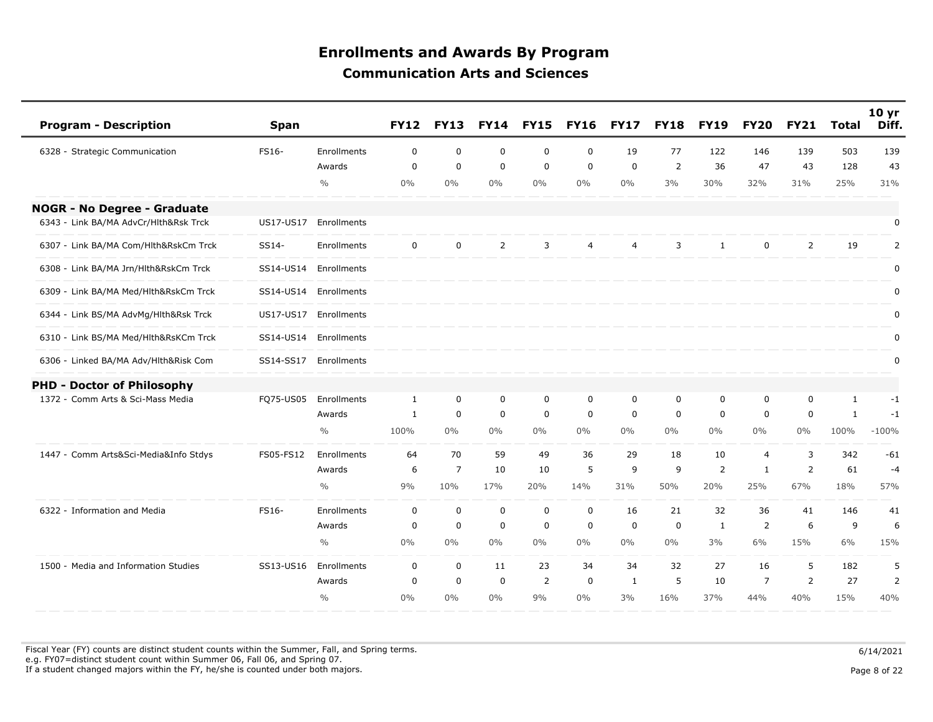| <b>Program - Description</b>          | <b>Span</b> |                    | <b>FY12</b>  | <b>FY13</b>    | <b>FY14</b>    | <b>FY15</b>    | <b>FY16</b>      | <b>FY17</b>    | <b>FY18</b> | <b>FY19</b>    | <b>FY20</b>    | <b>FY21</b>    | <b>Total</b> | 10 <sub>yr</sub><br>Diff. |
|---------------------------------------|-------------|--------------------|--------------|----------------|----------------|----------------|------------------|----------------|-------------|----------------|----------------|----------------|--------------|---------------------------|
| 6328 - Strategic Communication        | FS16-       | <b>Enrollments</b> | 0            | $\mathbf 0$    | 0              | $\mathbf 0$    | $\mathbf 0$      | 19             | 77          | 122            | 146            | 139            | 503          | 139                       |
|                                       |             | Awards             | $\mathbf 0$  | $\mathbf 0$    | $\mathbf 0$    | $\mathbf 0$    | $\mathbf 0$      | $\mathbf 0$    | 2           | 36             | 47             | 43             | 128          | 43                        |
|                                       |             | $\frac{0}{0}$      | 0%           | 0%             | 0%             | $0\%$          | $0\%$            | $0\%$          | 3%          | 30%            | 32%            | 31%            | 25%          | 31%                       |
| <b>NOGR - No Degree - Graduate</b>    |             |                    |              |                |                |                |                  |                |             |                |                |                |              |                           |
| 6343 - Link BA/MA AdvCr/Hlth&Rsk Trck | US17-US17   | Enrollments        |              |                |                |                |                  |                |             |                |                |                |              | 0                         |
| 6307 - Link BA/MA Com/Hlth&RskCm Trck | SS14-       | Enrollments        | $\mathbf 0$  | $\mathbf 0$    | $\overline{2}$ | 3              | $\overline{4}$   | $\overline{4}$ | 3           | $\mathbf{1}$   | $\mathbf 0$    | $\overline{2}$ | 19           | 2                         |
| 6308 - Link BA/MA Jrn/Hlth&RskCm Trck | SS14-US14   | Enrollments        |              |                |                |                |                  |                |             |                |                |                |              | 0                         |
| 6309 - Link BA/MA Med/Hlth&RskCm Trck | SS14-US14   | Enrollments        |              |                |                |                |                  |                |             |                |                |                |              | $\mathbf 0$               |
| 6344 - Link BS/MA AdvMg/Hlth&Rsk Trck | US17-US17   | Enrollments        |              |                |                |                |                  |                |             |                |                |                |              | 0                         |
| 6310 - Link BS/MA Med/Hlth&RsKCm Trck | SS14-US14   | Enrollments        |              |                |                |                |                  |                |             |                |                |                |              | $\pmb{0}$                 |
| 6306 - Linked BA/MA Adv/Hlth&Risk Com | SS14-SS17   | Enrollments        |              |                |                |                |                  |                |             |                |                |                |              | 0                         |
| <b>PHD - Doctor of Philosophy</b>     |             |                    |              |                |                |                |                  |                |             |                |                |                |              |                           |
| 1372 - Comm Arts & Sci-Mass Media     | FQ75-US05   | Enrollments        | $\mathbf{1}$ | $\mathbf 0$    | $\mathbf 0$    | $\mathbf 0$    | $\mathbf 0$      | 0              | $\mathbf 0$ | $\mathbf 0$    | $\mathbf 0$    | $\mathbf 0$    | $\mathbf{1}$ | $-1$                      |
|                                       |             | Awards             | 1            | $\mathbf 0$    | $\mathbf 0$    | $\mathbf 0$    | $\mathbf 0$      | $\mathbf 0$    | $\mathbf 0$ | $\mathbf 0$    | $\mathbf 0$    | 0              | $\mathbf{1}$ | $-1$                      |
|                                       |             | $\frac{0}{0}$      | 100%         | $0\%$          | 0%             | $0\%$          | 0%               | $0\%$          | $0\%$       | $0\%$          | $0\%$          | $0\%$          | 100%         | $-100%$                   |
| 1447 - Comm Arts&Sci-Media&Info Stdys | FS05-FS12   | Enrollments        | 64           | 70             | 59             | 49             | 36               | 29             | 18          | 10             | $\overline{4}$ | 3              | 342          | $-61$                     |
|                                       |             | Awards             | 6            | $\overline{7}$ | 10             | 10             | 5                | 9              | 9           | $\overline{2}$ | $\mathbf{1}$   | $\overline{2}$ | 61           | $-4$                      |
|                                       |             | $\frac{0}{0}$      | 9%           | 10%            | 17%            | 20%            | 14%              | 31%            | 50%         | 20%            | 25%            | 67%            | 18%          | 57%                       |
| 6322 - Information and Media          | FS16-       | Enrollments        | $\mathbf 0$  | $\mathbf 0$    | $\mathbf 0$    | $\mathbf 0$    | $\boldsymbol{0}$ | 16             | 21          | 32             | 36             | 41             | 146          | 41                        |
|                                       |             | Awards             | 0            | $\mathbf 0$    | $\mathbf 0$    | $\mathbf 0$    | $\mathbf 0$      | $\mathbf 0$    | $\mathbf 0$ | 1              | 2              | 6              | 9            | 6                         |
|                                       |             | $\frac{0}{0}$      | 0%           | $0\%$          | 0%             | $0\%$          | $0\%$            | $0\%$          | $0\%$       | 3%             | 6%             | 15%            | 6%           | 15%                       |
| 1500 - Media and Information Studies  | SS13-US16   | Enrollments        | 0            | 0              | 11             | 23             | 34               | 34             | 32          | 27             | 16             | 5              | 182          | 5                         |
|                                       |             | Awards             | 0            | $\mathbf 0$    | $\mathbf 0$    | $\overline{2}$ | $\mathbf 0$      | 1              | 5           | 10             | $\overline{7}$ | $\overline{2}$ | 27           | $\overline{2}$            |
|                                       |             | $\frac{0}{0}$      | 0%           | $0\%$          | $0\%$          | 9%             | $0\%$            | 3%             | 16%         | 37%            | 44%            | 40%            | 15%          | 40%                       |

Fiscal Year (FY) counts are distinct student counts within the Summer, Fall, and Spring terms.  $6/14/2021$  e.g. FY07=distinct student count within Summer 06, Fall 06, and Spring 07. If a student changed majors within the FY, he/she is counted under both majors. Page 8 of 22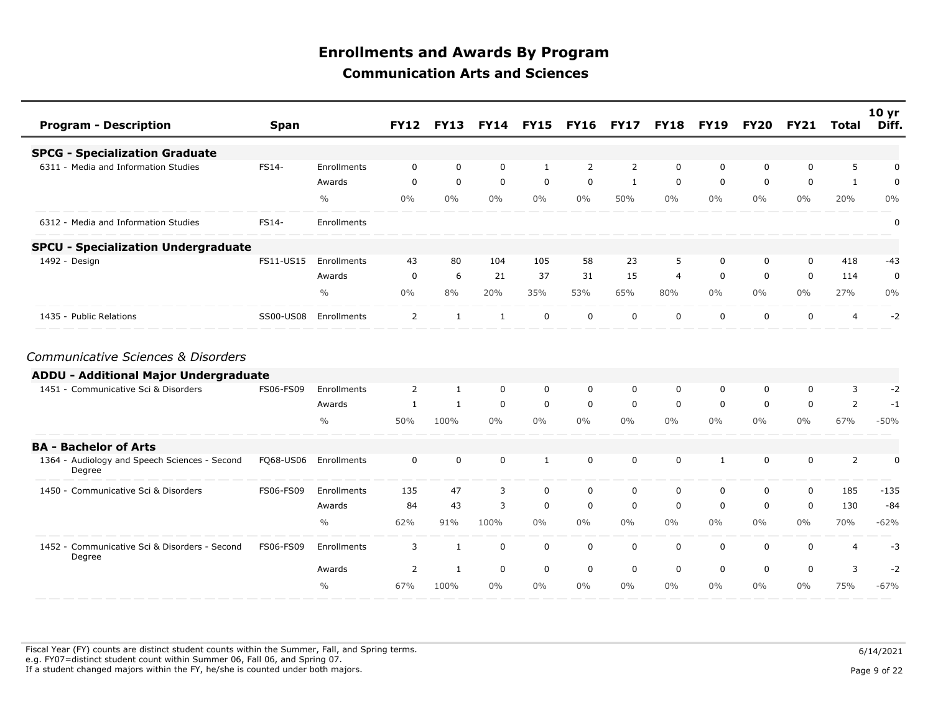| <b>Program - Description</b>                            | <b>Span</b> |               | <b>FY12</b>    | <b>FY13</b>  |                | <b>FY14 FY15</b> | <b>FY16</b>    | <b>FY17</b> | <b>FY18</b> | <b>FY19</b>  | <b>FY20</b> | <b>FY21</b> | Total          | 10 <sub>yr</sub><br>Diff. |
|---------------------------------------------------------|-------------|---------------|----------------|--------------|----------------|------------------|----------------|-------------|-------------|--------------|-------------|-------------|----------------|---------------------------|
| <b>SPCG - Specialization Graduate</b>                   |             |               |                |              |                |                  |                |             |             |              |             |             |                |                           |
| 6311 - Media and Information Studies                    | FS14-       | Enrollments   | $\Omega$       | $\Omega$     | $\mathbf 0$    | 1                | $\overline{2}$ | 2           | $\mathbf 0$ | 0            | $\Omega$    | $\Omega$    | 5              | 0                         |
|                                                         |             | Awards        | 0              | $\mathbf 0$  | $\mathbf 0$    | $\mathbf 0$      | $\mathbf 0$    | 1           | 0           | $\mathbf 0$  | 0           | $\mathbf 0$ | $\mathbf{1}$   | $\mathbf 0$               |
|                                                         |             | $\frac{0}{0}$ | $0\%$          | $0\%$        | $0\%$          | $0\%$            | $0\%$          | 50%         | $0\%$       | $0\%$        | $0\%$       | 0%          | 20%            | 0%                        |
| 6312 - Media and Information Studies                    | FS14-       | Enrollments   |                |              |                |                  |                |             |             |              |             |             |                | 0                         |
| <b>SPCU - Specialization Undergraduate</b>              |             |               |                |              |                |                  |                |             |             |              |             |             |                |                           |
| 1492 - Design                                           | FS11-US15   | Enrollments   | 43             | 80           | 104            | 105              | 58             | 23          | 5           | $\mathbf 0$  | 0           | $\mathbf 0$ | 418            | $-43$                     |
|                                                         |             | Awards        | 0              | 6            | 21             | 37               | 31             | 15          | 4           | $\mathbf 0$  | 0           | $\mathbf 0$ | 114            | $\mathbf 0$               |
|                                                         |             | $\frac{0}{0}$ | $0\%$          | 8%           | 20%            | 35%              | 53%            | 65%         | 80%         | $0\%$        | $0\%$       | $0\%$       | 27%            | 0%                        |
| 1435 - Public Relations                                 | SS00-US08   | Enrollments   | $\overline{2}$ | $\mathbf{1}$ | $\mathbf{1}$   | $\mathbf 0$      | $\mathbf 0$    | $\mathbf 0$ | $\mathbf 0$ | 0            | 0           | $\mathbf 0$ | 4              | $-2$                      |
| Communicative Sciences & Disorders                      |             |               |                |              |                |                  |                |             |             |              |             |             |                |                           |
| <b>ADDU - Additional Major Undergraduate</b>            |             |               |                |              |                |                  |                |             |             |              |             |             |                |                           |
| 1451 - Communicative Sci & Disorders                    | FS06-FS09   | Enrollments   | $\overline{2}$ | $\mathbf{1}$ | $\mathbf 0$    | 0                | $\Omega$       | $\Omega$    | $\Omega$    | 0            | 0           | $\Omega$    | 3              | $-2$                      |
|                                                         |             | Awards        | 1              | $\mathbf{1}$ | $\mathbf 0$    | $\mathbf 0$      | $\mathbf 0$    | $\mathbf 0$ | $\mathbf 0$ | $\mathbf 0$  | $\mathbf 0$ | $\mathbf 0$ | $\overline{2}$ | $-1$                      |
|                                                         |             | $\frac{0}{0}$ | 50%            | 100%         | $0\%$          | $0\%$            | $0\%$          | $0\%$       | $0\%$       | $0\%$        | $0\%$       | 0%          | 67%            | $-50%$                    |
| <b>BA - Bachelor of Arts</b>                            |             |               |                |              |                |                  |                |             |             |              |             |             |                |                           |
| 1364 - Audiology and Speech Sciences - Second<br>Degree | FQ68-US06   | Enrollments   | $\mathbf 0$    | $\mathbf 0$  | $\mathbf 0$    | $\mathbf{1}$     | $\mathbf 0$    | $\Omega$    | $\mathbf 0$ | $\mathbf{1}$ | 0           | $\Omega$    | 2              | 0                         |
| 1450 - Communicative Sci & Disorders                    | FS06-FS09   | Enrollments   | 135            | 47           | $\overline{3}$ | $\mathbf 0$      | $\mathbf 0$    | $\mathbf 0$ | $\mathbf 0$ | $\mathbf 0$  | 0           | $\mathbf 0$ | 185            | $-135$                    |
|                                                         |             | Awards        | 84             | 43           | 3              | $\mathbf 0$      | $\mathbf 0$    | $\mathbf 0$ | $\mathbf 0$ | $\mathbf 0$  | 0           | $\mathbf 0$ | 130            | $-84$                     |
|                                                         |             | $\frac{0}{0}$ | 62%            | 91%          | 100%           | $0\%$            | $0\%$          | $0\%$       | $0\%$       | $0\%$        | $0\%$       | $0\%$       | 70%            | $-62%$                    |
| 1452 - Communicative Sci & Disorders - Second<br>Degree | FS06-FS09   | Enrollments   | 3              | $\mathbf{1}$ | $\mathbf 0$    | $\mathsf{O}$     | $\mathbf 0$    | $\mathbf 0$ | $\mathbf 0$ | 0            | 0           | $\mathbf 0$ | 4              | $-3$                      |
|                                                         |             | Awards        | 2              | 1            | $\mathbf 0$    | $\mathbf 0$      | $\mathbf 0$    | $\mathbf 0$ | $\mathbf 0$ | $\mathbf 0$  | 0           | $\mathbf 0$ | 3              | $-2$                      |
|                                                         |             | $\frac{0}{0}$ | 67%            | 100%         | $0\%$          | $0\%$            | $0\%$          | $0\%$       | $0\%$       | $0\%$        | $0\%$       | $0\%$       | 75%            | $-67%$                    |

Fiscal Year (FY) counts are distinct student counts within the Summer, Fall, and Spring terms.  $6/14/2021$  e.g. FY07=distinct student count within Summer 06, Fall 06, and Spring 07. If a student changed majors within the FY, he/she is counted under both majors. Page 9 of 22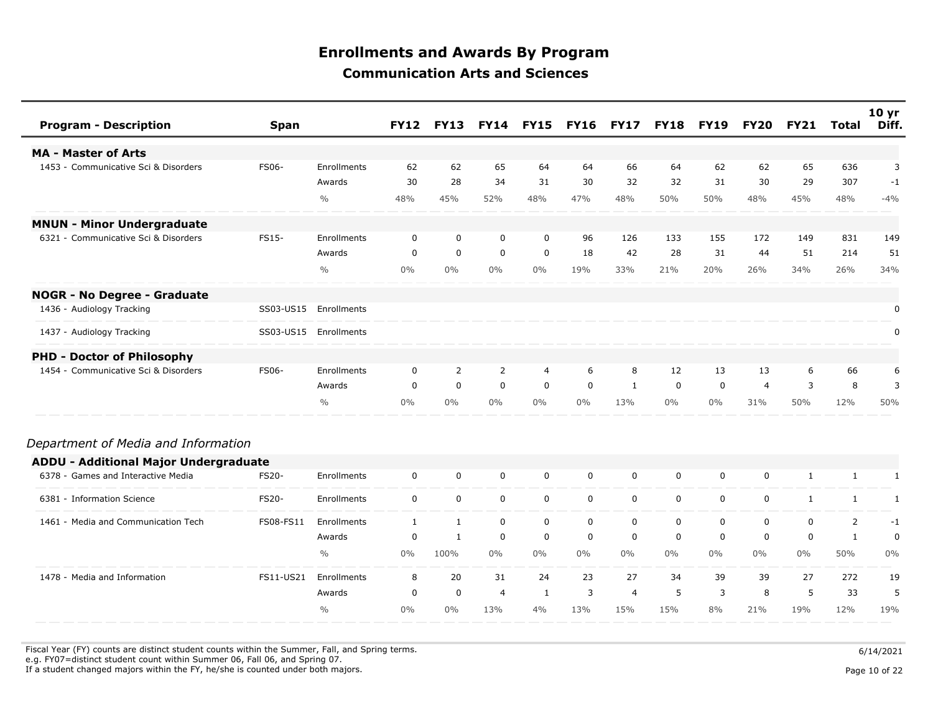| <b>Program - Description</b>                 | <b>Span</b>  |               | <b>FY12</b>  | <b>FY13</b>  | <b>FY14</b> | <b>FY15</b> | <b>FY16</b> | <b>FY17</b>    | <b>FY18</b> | <b>FY19</b> | <b>FY20</b>    | <b>FY21</b>  | <b>Total</b>   | 10 <sub>yr</sub><br>Diff. |
|----------------------------------------------|--------------|---------------|--------------|--------------|-------------|-------------|-------------|----------------|-------------|-------------|----------------|--------------|----------------|---------------------------|
| <b>MA - Master of Arts</b>                   |              |               |              |              |             |             |             |                |             |             |                |              |                |                           |
| 1453 - Communicative Sci & Disorders         | <b>FS06-</b> | Enrollments   | 62           | 62           | 65          | 64          | 64          | 66             | 64          | 62          | 62             | 65           | 636            | 3                         |
|                                              |              | Awards        | 30           | 28           | 34          | 31          | 30          | 32             | 32          | 31          | 30             | 29           | 307            | $-1$                      |
|                                              |              | $\frac{0}{0}$ | 48%          | 45%          | 52%         | 48%         | 47%         | 48%            | 50%         | 50%         | 48%            | 45%          | 48%            | $-4%$                     |
| <b>MNUN - Minor Undergraduate</b>            |              |               |              |              |             |             |             |                |             |             |                |              |                |                           |
| 6321 - Communicative Sci & Disorders         | <b>FS15-</b> | Enrollments   | $\mathbf 0$  | $\mathbf 0$  | $\mathbf 0$ | $\mathbf 0$ | 96          | 126            | 133         | 155         | 172            | 149          | 831            | 149                       |
|                                              |              | Awards        | $\mathbf 0$  | $\mathbf 0$  | $\mathbf 0$ | $\mathbf 0$ | 18          | 42             | 28          | 31          | 44             | 51           | 214            | 51                        |
|                                              |              | $\frac{0}{0}$ | $0\%$        | $0\%$        | $0\%$       | $0\%$       | 19%         | 33%            | 21%         | 20%         | 26%            | 34%          | 26%            | 34%                       |
| <b>NOGR - No Degree - Graduate</b>           |              |               |              |              |             |             |             |                |             |             |                |              |                |                           |
| 1436 - Audiology Tracking                    | SS03-US15    | Enrollments   |              |              |             |             |             |                |             |             |                |              |                | 0                         |
| 1437 - Audiology Tracking                    | SS03-US15    | Enrollments   |              |              |             |             |             |                |             |             |                |              |                | 0                         |
| <b>PHD - Doctor of Philosophy</b>            |              |               |              |              |             |             |             |                |             |             |                |              |                |                           |
| 1454 - Communicative Sci & Disorders         | <b>FS06-</b> | Enrollments   | $\mathbf 0$  | 2            | 2           | 4           | 6           | 8              | 12          | 13          | 13             | 6            | 66             | 6                         |
|                                              |              | Awards        | $\mathbf 0$  | $\mathbf 0$  | $\mathbf 0$ | $\mathbf 0$ | $\mathbf 0$ | 1              | 0           | 0           | $\overline{4}$ | 3            | 8              | 3                         |
|                                              |              | $\frac{0}{0}$ | $0\%$        | $0\%$        | $0\%$       | $0\%$       | $0\%$       | 13%            | $0\%$       | $0\%$       | 31%            | 50%          | 12%            | 50%                       |
| Department of Media and Information          |              |               |              |              |             |             |             |                |             |             |                |              |                |                           |
| <b>ADDU - Additional Major Undergraduate</b> |              |               |              |              |             |             |             |                |             |             |                |              |                |                           |
| 6378 - Games and Interactive Media           | <b>FS20-</b> | Enrollments   | $\mathbf 0$  | $\mathbf 0$  | $\mathbf 0$ | $\mathbf 0$ | $\mathbf 0$ | $\mathbf 0$    | $\mathbf 0$ | $\mathbf 0$ | 0              | $\mathbf{1}$ | $\mathbf{1}$   | $\mathbf{1}$              |
| 6381 - Information Science                   | <b>FS20-</b> | Enrollments   | $\mathbf 0$  | $\mathbf 0$  | $\mathbf 0$ | $\mathbf 0$ | $\mathbf 0$ | $\mathbf 0$    | $\mathbf 0$ | $\mathbf 0$ | 0              | 1            | $\mathbf{1}$   | 1                         |
| 1461 - Media and Communication Tech          | FS08-FS11    | Enrollments   | $\mathbf{1}$ | $\mathbf{1}$ | $\mathbf 0$ | $\mathbf 0$ | $\mathbf 0$ | $\mathbf 0$    | $\mathbf 0$ | $\mathbf 0$ | 0              | $\mathbf 0$  | $\overline{2}$ | $-1$                      |
|                                              |              | Awards        | 0            | $\mathbf{1}$ | $\mathbf 0$ | $\mathbf 0$ | 0           | $\mathbf 0$    | 0           | 0           | 0              | $\mathbf 0$  | 1              | 0                         |
|                                              |              | $\frac{0}{0}$ | $0\%$        | 100%         | $0\%$       | $0\%$       | $0\%$       | $0\%$          | $0\%$       | $0\%$       | $0\%$          | $0\%$        | 50%            | 0%                        |
| 1478 - Media and Information                 | FS11-US21    | Enrollments   | 8            | 20           | 31          | 24          | 23          | 27             | 34          | 39          | 39             | 27           | 272            | 19                        |
|                                              |              | Awards        | $\mathbf 0$  | $\mathbf 0$  | 4           | 1           | 3           | $\overline{4}$ | 5           | 3           | 8              | 5            | 33             | 5                         |
|                                              |              | $\frac{0}{0}$ | $0\%$        | $0\%$        | 13%         | 4%          | 13%         | 15%            | 15%         | 8%          | 21%            | 19%          | 12%            | 19%                       |

Fiscal Year (FY) counts are distinct student counts within the Summer, Fall, and Spring terms.  $6/14/2021$ 

e.g. FY07=distinct student count within Summer 06, Fall 06, and Spring 07.

If a student changed majors within the FY, he/she is counted under both majors. Page 10 of 22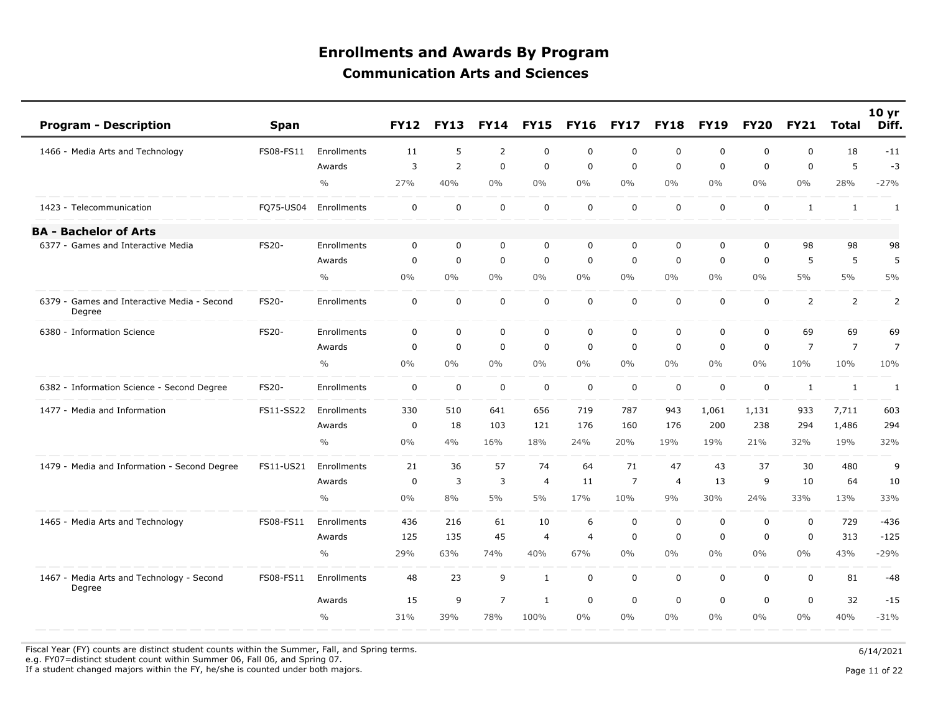| <b>Program - Description</b>                          | <b>Span</b>  |               | <b>FY12</b> | <b>FY13</b>    | <b>FY14</b>    | <b>FY15</b>    | <b>FY16</b>    | <b>FY17</b>    | <b>FY18</b>    | <b>FY19</b> | <b>FY20</b> | <b>FY21</b>    | <b>Total</b>   | 10 <sub>yr</sub><br>Diff. |
|-------------------------------------------------------|--------------|---------------|-------------|----------------|----------------|----------------|----------------|----------------|----------------|-------------|-------------|----------------|----------------|---------------------------|
| 1466 - Media Arts and Technology                      | FS08-FS11    | Enrollments   | 11          | 5              | $\overline{2}$ | $\mathbf 0$    | $\Omega$       | $\mathbf 0$    | $\mathbf 0$    | $\mathbf 0$ | $\Omega$    | $\Omega$       | 18             | $-11$                     |
|                                                       |              | Awards        | 3           | $\overline{2}$ | $\mathbf 0$    | $\mathbf 0$    | $\mathbf 0$    | $\mathbf 0$    | $\mathbf 0$    | $\mathbf 0$ | $\Omega$    | $\mathbf{0}$   | 5              | $-3$                      |
|                                                       |              | $\frac{0}{0}$ | 27%         | 40%            | 0%             | $0\%$          | 0%             | $0\%$          | $0\%$          | $0\%$       | $0\%$       | $0\%$          | 28%            | $-27%$                    |
| 1423 - Telecommunication                              | FQ75-US04    | Enrollments   | $\mathbf 0$ | $\mathbf 0$    | $\mathbf 0$    | $\mathbf 0$    | $\mathbf 0$    | $\mathbf 0$    | $\mathbf 0$    | $\mathbf 0$ | $\mathbf 0$ | $\mathbf{1}$   | $\mathbf{1}$   | 1                         |
| <b>BA - Bachelor of Arts</b>                          |              |               |             |                |                |                |                |                |                |             |             |                |                |                           |
| 6377 - Games and Interactive Media                    | <b>FS20-</b> | Enrollments   | 0           | 0              | 0              | 0              | 0              | 0              | 0              | 0           | 0           | 98             | 98             | 98                        |
|                                                       |              | Awards        | $\mathbf 0$ | $\mathbf 0$    | $\mathbf 0$    | $\mathbf 0$    | $\mathbf 0$    | $\mathbf 0$    | $\mathbf 0$    | $\mathbf 0$ | $\mathbf 0$ | 5              | 5              | 5                         |
|                                                       |              | $\frac{0}{0}$ | $0\%$       | $0\%$          | 0%             | $0\%$          | $0\%$          | $0\%$          | $0\%$          | $0\%$       | $0\%$       | $5\%$          | 5%             | 5%                        |
| 6379 - Games and Interactive Media - Second<br>Degree | FS20-        | Enrollments   | 0           | 0              | $\mathsf 0$    | $\mathbf 0$    | $\mathbf 0$    | $\mathbf 0$    | $\mathbf 0$    | $\mathbf 0$ | $\mathbf 0$ | $\overline{2}$ | $\overline{2}$ | 2                         |
| 6380 - Information Science                            | <b>FS20-</b> | Enrollments   | $\mathbf 0$ | $\mathbf 0$    | $\mathbf 0$    | $\mathbf 0$    | $\mathbf 0$    | $\mathbf 0$    | $\mathbf 0$    | $\mathbf 0$ | $\mathbf 0$ | 69             | 69             | 69                        |
|                                                       |              | Awards        | 0           | $\mathbf 0$    | $\mathbf 0$    | $\mathbf 0$    | $\mathbf 0$    | $\mathbf 0$    | $\mathbf 0$    | $\mathbf 0$ | $\mathbf 0$ | $\overline{7}$ | $\overline{7}$ | $\overline{7}$            |
|                                                       |              | $\frac{0}{0}$ | $0\%$       | $0\%$          | $0\%$          | $0\%$          | 0%             | $0\%$          | $0\%$          | $0\%$       | $0\%$       | 10%            | 10%            | 10%                       |
| 6382 - Information Science - Second Degree            | <b>FS20-</b> | Enrollments   | $\mathbf 0$ | $\mathbf 0$    | $\mathbf 0$    | $\mathbf 0$    | $\mathbf 0$    | $\mathbf 0$    | $\mathbf 0$    | $\mathbf 0$ | $\mathbf 0$ | $\mathbf{1}$   | $\mathbf{1}$   | $\mathbf{1}$              |
| 1477 - Media and Information                          | FS11-SS22    | Enrollments   | 330         | 510            | 641            | 656            | 719            | 787            | 943            | 1,061       | 1,131       | 933            | 7,711          | 603                       |
|                                                       |              | Awards        | 0           | 18             | 103            | 121            | 176            | 160            | 176            | 200         | 238         | 294            | 1,486          | 294                       |
|                                                       |              | $\frac{0}{0}$ | $0\%$       | 4%             | 16%            | 18%            | 24%            | 20%            | 19%            | 19%         | 21%         | 32%            | 19%            | 32%                       |
| 1479 - Media and Information - Second Degree          | FS11-US21    | Enrollments   | 21          | 36             | 57             | 74             | 64             | 71             | 47             | 43          | 37          | 30             | 480            | 9                         |
|                                                       |              | Awards        | 0           | 3              | 3              | $\overline{4}$ | 11             | $\overline{7}$ | $\overline{4}$ | 13          | 9           | 10             | 64             | 10                        |
|                                                       |              | $\frac{0}{0}$ | $0\%$       | 8%             | 5%             | 5%             | 17%            | 10%            | 9%             | 30%         | 24%         | 33%            | 13%            | 33%                       |
| 1465 - Media Arts and Technology                      | FS08-FS11    | Enrollments   | 436         | 216            | 61             | 10             | 6              | $\mathbf 0$    | $\mathbf 0$    | $\mathbf 0$ | $\mathbf 0$ | $\mathbf 0$    | 729            | $-436$                    |
|                                                       |              | Awards        | 125         | 135            | 45             | $\overline{4}$ | $\overline{4}$ | $\mathbf 0$    | $\mathbf 0$    | $\mathbf 0$ | $\mathbf 0$ | $\mathbf 0$    | 313            | $-125$                    |
|                                                       |              | $\frac{0}{0}$ | 29%         | 63%            | 74%            | 40%            | 67%            | $0\%$          | $0\%$          | $0\%$       | $0\%$       | $0\%$          | 43%            | $-29%$                    |
| 1467 - Media Arts and Technology - Second<br>Degree   | FS08-FS11    | Enrollments   | 48          | 23             | 9              | $\mathbf{1}$   | $\mathbf 0$    | $\mathbf 0$    | $\mathbf 0$    | $\mathbf 0$ | $\mathbf 0$ | $\mathbf 0$    | 81             | $-48$                     |
|                                                       |              | Awards        | 15          | 9              | $\overline{7}$ | 1              | $\mathbf 0$    | $\mathbf 0$    | $\mathbf 0$    | $\mathbf 0$ | $\mathbf 0$ | $\mathbf 0$    | 32             | $-15$                     |
|                                                       |              | $\frac{0}{0}$ | 31%         | 39%            | 78%            | 100%           | 0%             | $0\%$          | $0\%$          | $0\%$       | $0\%$       | $0\%$          | 40%            | $-31%$                    |

Fiscal Year (FY) counts are distinct student counts within the Summer, Fall, and Spring terms.  $6/14/2021$ 

e.g. FY07=distinct student count within Summer 06, Fall 06, and Spring 07.

If a student changed majors within the FY, he/she is counted under both majors. Page 11 of 22

Page 11 of 22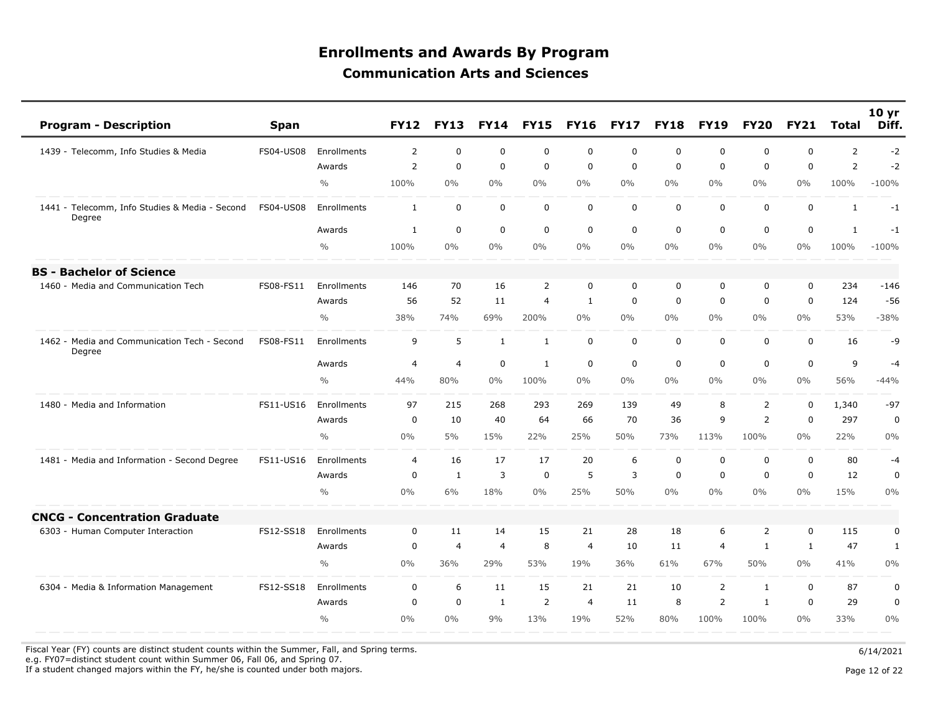| <b>Program - Description</b>                             | <b>Span</b>      |                    | <b>FY12</b>    | <b>FY13</b>    | <b>FY14</b>    | <b>FY15</b>    | <b>FY16</b>    | <b>FY17</b>    | <b>FY18</b> | <b>FY19</b>    | <b>FY20</b>    | <b>FY21</b>  | <b>Total</b>   | 10 yr<br>Diff. |
|----------------------------------------------------------|------------------|--------------------|----------------|----------------|----------------|----------------|----------------|----------------|-------------|----------------|----------------|--------------|----------------|----------------|
| 1439 - Telecomm, Info Studies & Media                    | <b>FS04-US08</b> | Enrollments        | $\overline{2}$ | $\Omega$       | $\Omega$       | $\mathbf 0$    | $\mathbf 0$    | $\mathbf 0$    | $\mathbf 0$ | $\Omega$       | $\Omega$       | $\mathbf{0}$ | $\overline{2}$ | $-2$           |
|                                                          |                  | Awards             | $\overline{2}$ | $\mathbf 0$    | $\Omega$       | $\mathbf 0$    | $\mathbf 0$    | $\mathbf 0$    | $\mathbf 0$ | $\mathbf 0$    | $\Omega$       | $\mathbf 0$  | $\overline{2}$ | $-2$           |
|                                                          |                  | $\frac{0}{0}$      | 100%           | $0\%$          | 0%             | $0\%$          | 0%             | $0\%$          | $0\%$       | $0\%$          | $0\%$          | $0\%$        | 100%           | $-100%$        |
| 1441 - Telecomm, Info Studies & Media - Second<br>Degree | FS04-US08        | <b>Enrollments</b> | $\mathbf{1}$   | $\mathbf 0$    | $\mathbf 0$    | $\mathbf 0$    | $\mathbf 0$    | $\mathbf 0$    | $\mathbf 0$ | $\mathbf 0$    | $\mathbf 0$    | $\mathbf 0$  | $\mathbf{1}$   | $-1$           |
|                                                          |                  | Awards             | 1              | $\mathbf 0$    | $\mathbf 0$    | $\mathbf 0$    | $\mathbf 0$    | $\mathbf 0$    | $\mathbf 0$ | $\mathbf 0$    | $\mathbf 0$    | $\mathbf 0$  | $\mathbf{1}$   | $-1$           |
|                                                          |                  | $\frac{0}{0}$      | 100%           | 0%             | 0%             | $0\%$          | 0%             | $0\%$          | $0\%$       | $0\%$          | $0\%$          | $0\%$        | 100%           | $-100%$        |
| <b>BS - Bachelor of Science</b>                          |                  |                    |                |                |                |                |                |                |             |                |                |              |                |                |
| 1460 - Media and Communication Tech                      | FS08-FS11        | Enrollments        | 146            | 70             | 16             | $\overline{2}$ | $\mathbf{0}$   | $\Omega$       | $\mathbf 0$ | $\mathbf 0$    | $\Omega$       | $\mathbf{0}$ | 234            | $-146$         |
|                                                          |                  | Awards             | 56             | 52             | 11             | $\overline{4}$ | $\mathbf{1}$   | $\mathbf 0$    | $\mathbf 0$ | $\mathbf 0$    | $\mathbf{0}$   | $\mathbf{0}$ | 124            | $-56$          |
|                                                          |                  | $\frac{0}{0}$      | 38%            | 74%            | 69%            | 200%           | 0%             | $0\%$          | $0\%$       | $0\%$          | $0\%$          | $0\%$        | 53%            | $-38%$         |
| 1462 - Media and Communication Tech - Second<br>Degree   | FS08-FS11        | Enrollments        | 9              | 5              | $\mathbf{1}$   | $\mathbf{1}$   | $\mathbf 0$    | $\mathbf 0$    | $\mathbf 0$ | $\mathbf 0$    | $\mathbf 0$    | $\mathbf 0$  | 16             | -9             |
|                                                          |                  | Awards             | $\overline{4}$ | $\overline{4}$ | $\mathbf 0$    | 1              | $\mathbf 0$    | $\mathbf 0$    | $\mathbf 0$ | $\mathbf 0$    | $\mathbf{0}$   | $\mathbf 0$  | 9              | $-4$           |
|                                                          |                  | $\frac{0}{0}$      | 44%            | 80%            | 0%             | 100%           | $0\%$          | $0\%$          | $0\%$       | $0\%$          | $0\%$          | $0\%$        | 56%            | $-44%$         |
| 1480 - Media and Information                             | FS11-US16        | Enrollments        | 97             | 215            | 268            | 293            | 269            | 139            | 49          | 8              | $\overline{2}$ | 0            | 1,340          | $-97$          |
|                                                          |                  | Awards             | $\mathbf 0$    | 10             | 40             | 64             | 66             | 70             | 36          | 9              | 2              | $\mathbf 0$  | 297            | $\mathbf 0$    |
|                                                          |                  | $\frac{0}{0}$      | $0\%$          | 5%             | 15%            | 22%            | 25%            | 50%            | 73%         | 113%           | 100%           | $0\%$        | 22%            | 0%             |
| 1481 - Media and Information - Second Degree             | FS11-US16        | <b>Enrollments</b> | $\overline{4}$ | 16             | 17             | 17             | 20             | 6              | $\mathbf 0$ | $\mathbf 0$    | $\mathbf{0}$   | $\mathbf 0$  | 80             | $-4$           |
|                                                          |                  | Awards             | $\mathbf 0$    | $\mathbf{1}$   | 3              | $\mathbf 0$    | 5              | $\overline{3}$ | $\mathbf 0$ | $\mathbf 0$    | $\mathbf 0$    | $\mathbf 0$  | 12             | $\mathbf 0$    |
|                                                          |                  | $\frac{0}{0}$      | $0\%$          | 6%             | 18%            | 0%             | 25%            | 50%            | $0\%$       | $0\%$          | $0\%$          | $0\%$        | 15%            | 0%             |
| <b>CNCG - Concentration Graduate</b>                     |                  |                    |                |                |                |                |                |                |             |                |                |              |                |                |
| 6303 - Human Computer Interaction                        | FS12-SS18        | Enrollments        | $\mathbf 0$    | 11             | 14             | 15             | 21             | 28             | 18          | 6              | $\overline{2}$ | $\mathbf 0$  | 115            | 0              |
|                                                          |                  | Awards             | $\mathbf 0$    | $\overline{4}$ | $\overline{4}$ | 8              | $\overline{4}$ | 10             | 11          | $\overline{4}$ | 1              | $\mathbf{1}$ | 47             | $\mathbf{1}$   |
|                                                          |                  | $\frac{0}{0}$      | $0\%$          | 36%            | 29%            | 53%            | 19%            | 36%            | 61%         | 67%            | 50%            | $0\%$        | 41%            | $0\%$          |
| 6304 - Media & Information Management                    | FS12-SS18        | Enrollments        | $\mathbf 0$    | 6              | 11             | 15             | 21             | 21             | 10          | $\overline{2}$ | $\mathbf{1}$   | $\mathbf 0$  | 87             | $\pmb{0}$      |
|                                                          |                  | Awards             | $\mathbf 0$    | $\mathbf 0$    | $\mathbf{1}$   | 2              | $\overline{4}$ | 11             | 8           | 2              | $\mathbf{1}$   | $\mathbf 0$  | 29             | $\pmb{0}$      |
|                                                          |                  | $\frac{0}{0}$      | 0%             | $0\%$          | 9%             | 13%            | 19%            | 52%            | 80%         | 100%           | 100%           | $0\%$        | 33%            | 0%             |

Fiscal Year (FY) counts are distinct student counts within the Summer, Fall, and Spring terms.  $6/14/2021$ 

e.g. FY07=distinct student count within Summer 06, Fall 06, and Spring 07.

If a student changed majors within the FY, he/she is counted under both majors. Page 12 of 22 page 12 of 22 page 12 of 22 page 12 of 22 page 12 of 22 page 12 of 22 page 12 of 22 page 12 of 22 page 12 of 22 page 12 of 22 pa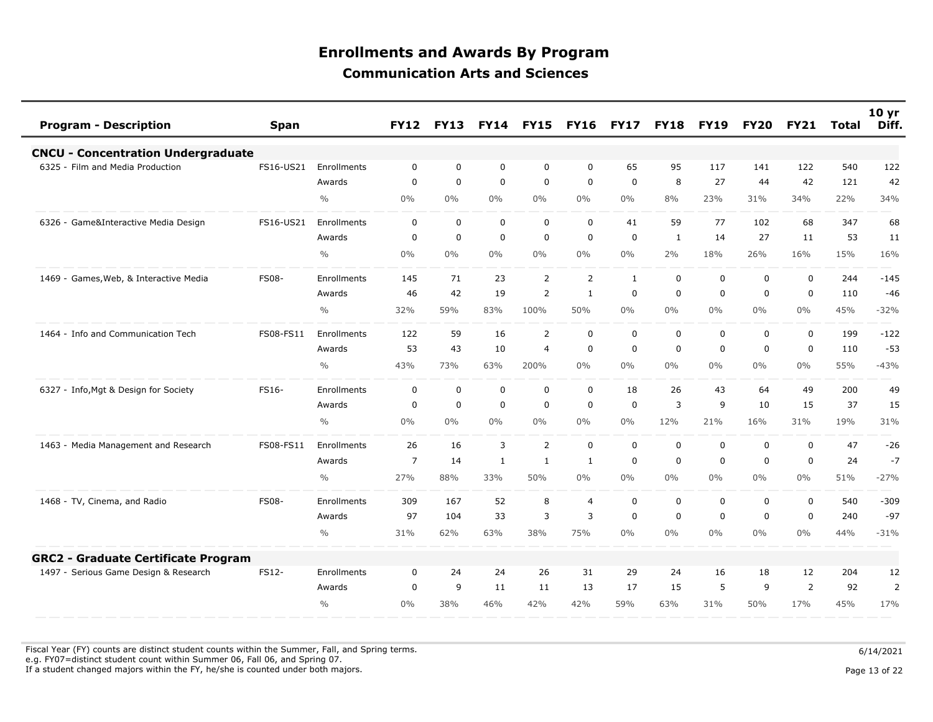| <b>Program - Description</b>               | <b>Span</b>  |                    | <b>FY12</b>    | <b>FY13</b> | <b>FY14</b>  | <b>FY15</b>    | <b>FY16</b>    | <b>FY17</b> | <b>FY18</b> | <b>FY19</b> | <b>FY20</b> | <b>FY21</b>  | Total | 10 <sub>yr</sub><br>Diff. |
|--------------------------------------------|--------------|--------------------|----------------|-------------|--------------|----------------|----------------|-------------|-------------|-------------|-------------|--------------|-------|---------------------------|
| <b>CNCU - Concentration Undergraduate</b>  |              |                    |                |             |              |                |                |             |             |             |             |              |       |                           |
| 6325 - Film and Media Production           | FS16-US21    | Enrollments        | $\mathbf 0$    | $\mathbf 0$ | 0            | $\mathbf 0$    | $\mathbf 0$    | 65          | 95          | 117         | 141         | 122          | 540   | 122                       |
|                                            |              | Awards             | $\Omega$       | $\Omega$    | $\mathbf 0$  | $\mathbf 0$    | $\Omega$       | $\Omega$    | 8           | 27          | 44          | 42           | 121   | 42                        |
|                                            |              | $\frac{0}{0}$      | 0%             | 0%          | $0\%$        | $0\%$          | $0\%$          | $0\%$       | 8%          | 23%         | 31%         | 34%          | 22%   | 34%                       |
| 6326 - Game&Interactive Media Design       | FS16-US21    | <b>Enrollments</b> | 0              | $\mathbf 0$ | $\mathbf 0$  | $\mathbf 0$    | $\Omega$       | 41          | 59          | 77          | 102         | 68           | 347   | 68                        |
|                                            |              | Awards             | $\mathbf 0$    | $\mathbf 0$ | $\mathbf 0$  | $\mathbf 0$    | 0              | $\mathbf 0$ | 1           | 14          | 27          | 11           | 53    | 11                        |
|                                            |              | $\frac{0}{0}$      | 0%             | $0\%$       | 0%           | $0\%$          | $0\%$          | $0\%$       | 2%          | 18%         | 26%         | 16%          | 15%   | 16%                       |
| - Games, Web, & Interactive Media<br>1469  | <b>FS08-</b> | <b>Enrollments</b> | 145            | 71          | 23           | 2              | $\overline{2}$ | 1           | $\mathbf 0$ | $\mathbf 0$ | $\Omega$    | $\mathbf 0$  | 244   | $-145$                    |
|                                            |              | Awards             | 46             | 42          | 19           | 2              | 1              | $\mathbf 0$ | 0           | $\mathbf 0$ | $\mathbf 0$ | $\mathbf 0$  | 110   | $-46$                     |
|                                            |              | $\frac{0}{0}$      | 32%            | 59%         | 83%          | 100%           | 50%            | $0\%$       | $0\%$       | $0\%$       | $0\%$       | $0\%$        | 45%   | $-32%$                    |
| 1464 - Info and Communication Tech         | FS08-FS11    | <b>Enrollments</b> | 122            | 59          | 16           | 2              | $\mathbf 0$    | $\mathbf 0$ | $\mathbf 0$ | $\mathbf 0$ | $\mathbf 0$ | $\mathbf 0$  | 199   | $-122$                    |
|                                            |              | Awards             | 53             | 43          | 10           | $\overline{4}$ | $\mathbf 0$    | $\mathbf 0$ | $\mathbf 0$ | $\mathbf 0$ | $\mathbf 0$ | $\mathbf 0$  | 110   | $-53$                     |
|                                            |              | $\frac{0}{0}$      | 43%            | 73%         | 63%          | 200%           | $0\%$          | $0\%$       | $0\%$       | $0\%$       | $0\%$       | $0\%$        | 55%   | $-43%$                    |
| 6327 - Info, Mgt & Design for Society      | FS16-        | Enrollments        | 0              | $\mathbf 0$ | $\mathbf 0$  | $\mathbf 0$    | $\mathbf 0$    | 18          | 26          | 43          | 64          | 49           | 200   | 49                        |
|                                            |              | Awards             | $\mathbf 0$    | $\mathbf 0$ | $\mathbf 0$  | $\mathbf 0$    | $\mathbf 0$    | $\mathbf 0$ | 3           | 9           | 10          | 15           | 37    | 15                        |
|                                            |              | $\frac{0}{0}$      | $0\%$          | $0\%$       | $0\%$        | $0\%$          | $0\%$          | $0\%$       | 12%         | 21%         | 16%         | 31%          | 19%   | 31%                       |
| 1463 - Media Management and Research       | FS08-FS11    | Enrollments        | 26             | 16          | 3            | $\overline{2}$ | $\mathbf 0$    | $\mathbf 0$ | $\mathsf 0$ | $\mathbf 0$ | $\mathbf 0$ | $\mathbf 0$  | 47    | $-26$                     |
|                                            |              | Awards             | $\overline{7}$ | 14          | $\mathbf{1}$ | $\mathbf{1}$   | 1              | $\Omega$    | $\Omega$    | $\Omega$    | $\Omega$    | $\mathbf{0}$ | 24    | $-7$                      |
|                                            |              | $\frac{0}{0}$      | 27%            | 88%         | 33%          | 50%            | $0\%$          | $0\%$       | $0\%$       | $0\%$       | $0\%$       | $0\%$        | 51%   | $-27%$                    |
| 1468 - TV, Cinema, and Radio               | <b>FS08-</b> | <b>Enrollments</b> | 309            | 167         | 52           | 8              | $\overline{4}$ | $\mathbf 0$ | 0           | 0           | 0           | 0            | 540   | $-309$                    |
|                                            |              | Awards             | 97             | 104         | 33           | 3              | 3              | 0           | $\mathbf 0$ | $\mathbf 0$ | $\mathbf 0$ | 0            | 240   | $-97$                     |
|                                            |              | $\frac{0}{0}$      | 31%            | 62%         | 63%          | 38%            | 75%            | $0\%$       | $0\%$       | $0\%$       | $0\%$       | $0\%$        | 44%   | $-31%$                    |
| <b>GRC2 - Graduate Certificate Program</b> |              |                    |                |             |              |                |                |             |             |             |             |              |       |                           |
| 1497 - Serious Game Design & Research      | FS12-        | Enrollments        | $\mathbf 0$    | 24          | 24           | 26             | 31             | 29          | 24          | 16          | 18          | 12           | 204   | 12                        |
|                                            |              | Awards             | 0              | 9           | 11           | 11             | 13             | 17          | 15          | 5           | 9           | 2            | 92    | $\overline{2}$            |
|                                            |              | $\frac{0}{0}$      | 0%             | 38%         | 46%          | 42%            | 42%            | 59%         | 63%         | 31%         | 50%         | 17%          | 45%   | 17%                       |

Fiscal Year (FY) counts are distinct student counts within the Summer, Fall, and Spring terms.  $6/14/2021$ e.g. FY07=distinct student count within Summer 06, Fall 06, and Spring 07.

If a student changed majors within the FY, he/she is counted under both majors. Page 13 of 22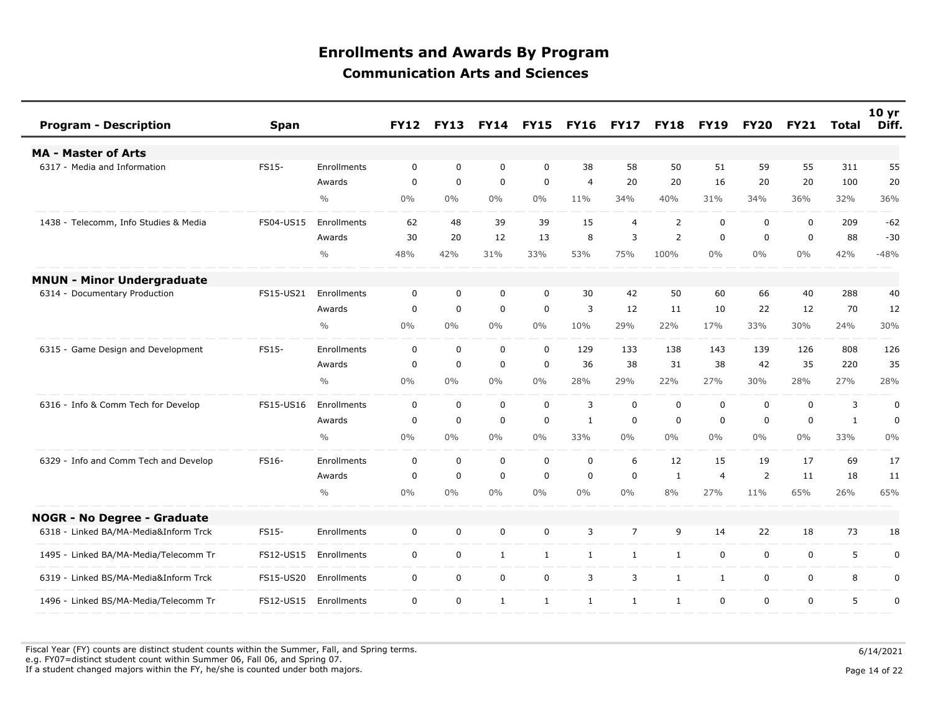| <b>Program - Description</b><br><b>Span</b>        |                    | <b>FY12</b> | <b>FY13</b> | <b>FY14</b>  | <b>FY15</b>  | <b>FY16</b>    | <b>FY17</b>    | <b>FY18</b>    | <b>FY19</b>    | <b>FY20</b>    | <b>FY21</b> | Total        | 10 <sub>yr</sub><br>Diff. |
|----------------------------------------------------|--------------------|-------------|-------------|--------------|--------------|----------------|----------------|----------------|----------------|----------------|-------------|--------------|---------------------------|
| <b>MA - Master of Arts</b>                         |                    |             |             |              |              |                |                |                |                |                |             |              |                           |
| 6317 - Media and Information<br>FS15-              | <b>Enrollments</b> | $\mathbf 0$ | $\mathbf 0$ | $\mathbf 0$  | $\mathbf 0$  | 38             | 58             | 50             | 51             | 59             | 55          | 311          | 55                        |
|                                                    | Awards             | $\mathbf 0$ | $\mathbf 0$ | $\mathbf 0$  | $\mathbf 0$  | $\overline{4}$ | 20             | 20             | 16             | 20             | 20          | 100          | 20                        |
|                                                    | $\frac{0}{0}$      | 0%          | $0\%$       | $0\%$        | $0\%$        | 11%            | 34%            | 40%            | 31%            | 34%            | 36%         | 32%          | 36%                       |
| 1438 - Telecomm, Info Studies & Media<br>FS04-US15 | Enrollments        | 62          | 48          | 39           | 39           | 15             | $\overline{4}$ | 2              | $\mathbf 0$    | $\mathbf 0$    | $\mathbf 0$ | 209          | $-62$                     |
|                                                    | Awards             | 30          | 20          | 12           | 13           | 8              | 3              | $\overline{2}$ | $\mathbf 0$    | $\mathbf 0$    | $\mathbf 0$ | 88           | $-30$                     |
|                                                    | $\frac{0}{0}$      | 48%         | 42%         | 31%          | 33%          | 53%            | 75%            | 100%           | $0\%$          | $0\%$          | $0\%$       | 42%          | $-48%$                    |
| <b>MNUN - Minor Undergraduate</b>                  |                    |             |             |              |              |                |                |                |                |                |             |              |                           |
| 6314 - Documentary Production<br>FS15-US21         | Enrollments        | $\mathbf 0$ | $\mathbf 0$ | $\mathbf 0$  | $\mathbf 0$  | 30             | 42             | 50             | 60             | 66             | 40          | 288          | 40                        |
|                                                    | Awards             | $\mathbf 0$ | $\Omega$    | $\mathbf 0$  | $\mathbf 0$  | 3              | 12             | 11             | 10             | 22             | 12          | 70           | 12                        |
|                                                    | $\frac{0}{0}$      | 0%          | 0%          | $0\%$        | $0\%$        | 10%            | 29%            | 22%            | 17%            | 33%            | 30%         | 24%          | 30%                       |
| 6315 - Game Design and Development<br>FS15-        | Enrollments        | $\mathbf 0$ | $\mathbf 0$ | $\mathbf 0$  | $\mathbf 0$  | 129            | 133            | 138            | 143            | 139            | 126         | 808          | 126                       |
|                                                    | Awards             | $\mathbf 0$ | $\mathbf 0$ | $\mathbf 0$  | $\mathbf 0$  | 36             | 38             | 31             | 38             | 42             | 35          | 220          | 35                        |
|                                                    | $\frac{0}{0}$      | 0%          | 0%          | 0%           | $0\%$        | 28%            | 29%            | 22%            | 27%            | 30%            | 28%         | 27%          | 28%                       |
| 6316 - Info & Comm Tech for Develop<br>FS15-US16   | Enrollments        | $\mathsf 0$ | $\mathbf 0$ | $\mathbf 0$  | $\mathbf 0$  | 3              | $\mathbf 0$    | $\mathbf 0$    | $\mathbf 0$    | $\mathbf 0$    | $\mathbf 0$ | 3            | 0                         |
|                                                    | Awards             | $\mathbf 0$ | $\mathbf 0$ | $\mathbf 0$  | $\mathbf 0$  | 1              | $\mathbf 0$    | $\mathbf 0$    | $\mathbf 0$    | $\Omega$       | $\mathbf 0$ | $\mathbf{1}$ | $\mathbf 0$               |
|                                                    | $\frac{0}{0}$      | 0%          | $0\%$       | 0%           | $0\%$        | 33%            | $0\%$          | $0\%$          | $0\%$          | $0\%$          | $0\%$       | 33%          | 0%                        |
| 6329 - Info and Comm Tech and Develop<br>FS16-     | Enrollments        | 0           | $\mathbf 0$ | $\mathbf 0$  | $\mathbf 0$  | $\mathbf 0$    | 6              | 12             | 15             | 19             | 17          | 69           | 17                        |
|                                                    | Awards             | $\Omega$    | $\Omega$    | $\mathbf 0$  | $\mathbf 0$  | $\mathbf 0$    | $\mathbf 0$    | 1              | $\overline{4}$ | $\overline{2}$ | 11          | 18           | 11                        |
|                                                    | $\frac{0}{0}$      | 0%          | $0\%$       | $0\%$        | $0\%$        | $0\%$          | $0\%$          | 8%             | 27%            | 11%            | 65%         | 26%          | 65%                       |
| <b>NOGR - No Degree - Graduate</b>                 |                    |             |             |              |              |                |                |                |                |                |             |              |                           |
| 6318 - Linked BA/MA-Media&Inform Trck<br>FS15-     | <b>Enrollments</b> | $\mathbf 0$ | $\mathbf 0$ | $\mathbf 0$  | $\mathbf 0$  | 3              | $\overline{7}$ | 9              | 14             | 22             | 18          | 73           | 18                        |
| 1495 - Linked BA/MA-Media/Telecomm Tr<br>FS12-US15 | Enrollments        | $\mathbf 0$ | $\mathbf 0$ | $\mathbf{1}$ | $\mathbf{1}$ | $\mathbf{1}$   | $\mathbf{1}$   | $\mathbf{1}$   | $\mathbf 0$    | $\mathbf 0$    | 0           | 5            | $\pmb{0}$                 |
| 6319 - Linked BS/MA-Media&Inform Trck<br>FS15-US20 | Enrollments        | $\mathbf 0$ | $\mathbf 0$ | $\mathbf 0$  | $\mathbf 0$  | 3              | 3              | $\mathbf{1}$   | 1              | $\mathbf 0$    | $\mathbf 0$ | 8            | 0                         |
| 1496 - Linked BS/MA-Media/Telecomm Tr<br>FS12-US15 | Enrollments        | $\Omega$    | $\mathbf 0$ | $\mathbf{1}$ | $\mathbf{1}$ | $\mathbf{1}$   | $\mathbf{1}$   | $\mathbf{1}$   | $\mathbf 0$    | $\mathbf{0}$   | $\Omega$    | 5            | $\boldsymbol{0}$          |

Fiscal Year (FY) counts are distinct student counts within the Summer, Fall, and Spring terms.  $6/14/2021$  e.g. FY07=distinct student count within Summer 06, Fall 06, and Spring 07. If a student changed majors within the FY, he/she is counted under both majors. Page 14 of 22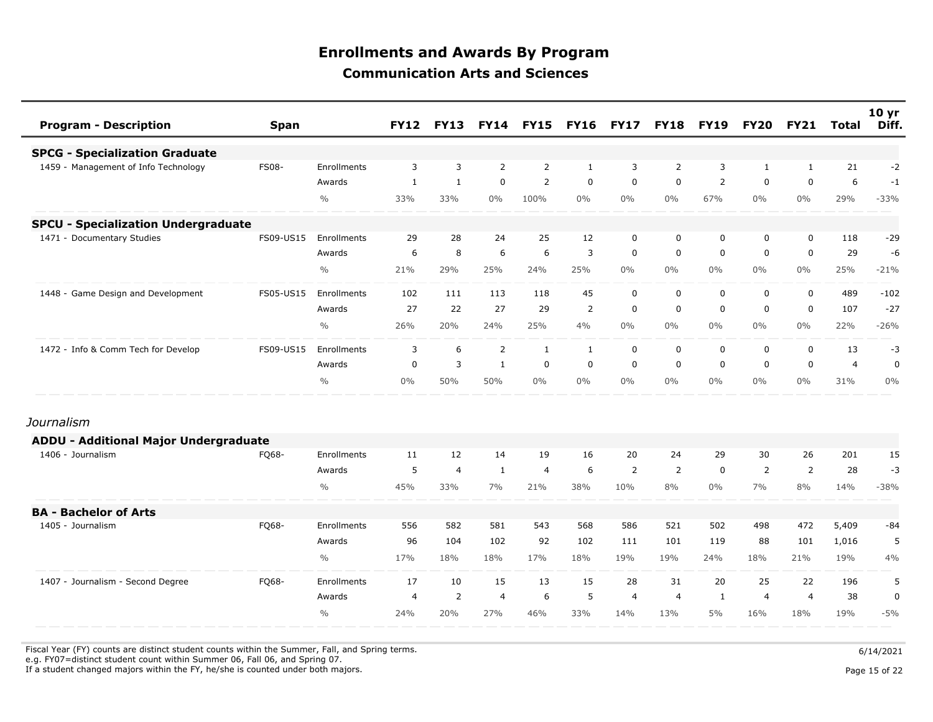| <b>Program - Description</b>                 | <b>Span</b>  |               | <b>FY12</b>    | <b>FY13</b>    | <b>FY14</b>    | <b>FY15</b>    | <b>FY16</b>  | <b>FY17</b>    | <b>FY18</b>    | <b>FY19</b>    | <b>FY20</b>    | <b>FY21</b>    | Total          | 10 <sub>yr</sub><br>Diff. |
|----------------------------------------------|--------------|---------------|----------------|----------------|----------------|----------------|--------------|----------------|----------------|----------------|----------------|----------------|----------------|---------------------------|
| <b>SPCG - Specialization Graduate</b>        |              |               |                |                |                |                |              |                |                |                |                |                |                |                           |
| 1459 - Management of Info Technology         | <b>FS08-</b> | Enrollments   | 3              | 3              | 2              | $\overline{2}$ | $\mathbf{1}$ | 3              | $\overline{2}$ | 3              | $\mathbf{1}$   | 1              | 21             | $-2$                      |
|                                              |              | Awards        | $\mathbf{1}$   | $\mathbf{1}$   | $\mathbf 0$    | $\overline{2}$ | $\mathbf 0$  | $\mathbf 0$    | $\mathbf 0$    | $\overline{2}$ | $\mathbf 0$    | $\mathbf 0$    | 6              | $-1$                      |
|                                              |              | $\frac{0}{0}$ | 33%            | 33%            | $0\%$          | 100%           | $0\%$        | $0\%$          | $0\%$          | 67%            | $0\%$          | $0\%$          | 29%            | $-33%$                    |
| <b>SPCU - Specialization Undergraduate</b>   |              |               |                |                |                |                |              |                |                |                |                |                |                |                           |
| 1471 - Documentary Studies                   | FS09-US15    | Enrollments   | 29             | 28             | 24             | 25             | 12           | $\mathbf 0$    | $\mathbf 0$    | 0              | 0              | $\mathbf 0$    | 118            | $-29$                     |
|                                              |              | Awards        | 6              | 8              | 6              | 6              | 3            | $\mathbf 0$    | 0              | $\mathbf 0$    | 0              | $\mathbf 0$    | 29             | $-6$                      |
|                                              |              | $\frac{0}{0}$ | 21%            | 29%            | 25%            | 24%            | 25%          | $0\%$          | $0\%$          | 0%             | $0\%$          | 0%             | 25%            | $-21%$                    |
| 1448 - Game Design and Development           | FS05-US15    | Enrollments   | 102            | 111            | 113            | 118            | 45           | $\mathbf 0$    | $\mathbf 0$    | 0              | 0              | $\mathbf 0$    | 489            | $-102$                    |
|                                              |              | Awards        | 27             | 22             | 27             | 29             | 2            | $\mathbf 0$    | 0              | $\mathbf 0$    | 0              | $\mathbf 0$    | 107            | $-27$                     |
|                                              |              | $\frac{0}{0}$ | 26%            | 20%            | 24%            | 25%            | 4%           | $0\%$          | $0\%$          | $0\%$          | $0\%$          | $0\%$          | 22%            | $-26%$                    |
| 1472 - Info & Comm Tech for Develop          | FS09-US15    | Enrollments   | 3              | 6              | $\overline{2}$ | $\mathbf{1}$   | $\mathbf{1}$ | $\mathbf 0$    | $\mathbf 0$    | 0              | 0              | $\mathbf 0$    | 13             | $-3$                      |
|                                              |              | Awards        | $\mathbf 0$    | $\overline{3}$ | $\mathbf{1}$   | $\mathbf 0$    | $\mathbf 0$  | $\mathbf 0$    | $\mathbf 0$    | $\mathbf 0$    | $\mathbf 0$    | $\mathbf 0$    | $\overline{4}$ | $\mathbf 0$               |
|                                              |              | $\frac{0}{0}$ | $0\%$          | 50%            | 50%            | $0\%$          | $0\%$        | $0\%$          | $0\%$          | $0\%$          | $0\%$          | $0\%$          | 31%            | $0\%$                     |
| Journalism                                   |              |               |                |                |                |                |              |                |                |                |                |                |                |                           |
| <b>ADDU - Additional Major Undergraduate</b> |              |               |                |                |                |                |              |                |                |                |                |                |                |                           |
| 1406 - Journalism                            | FQ68-        | Enrollments   | 11             | 12             | 14             | 19             | 16           | 20             | 24             | 29             | 30             | 26             | 201            | 15                        |
|                                              |              | Awards        | 5              | $\overline{4}$ | 1              | $\overline{4}$ | 6            | 2              | 2              | 0              | 2              | $\overline{2}$ | 28             | $-3$                      |
|                                              |              | $\frac{0}{0}$ | 45%            | 33%            | 7%             | 21%            | 38%          | 10%            | 8%             | $0\%$          | 7%             | 8%             | 14%            | $-38%$                    |
| <b>BA - Bachelor of Arts</b>                 |              |               |                |                |                |                |              |                |                |                |                |                |                |                           |
| 1405 - Journalism                            | FQ68-        | Enrollments   | 556            | 582            | 581            | 543            | 568          | 586            | 521            | 502            | 498            | 472            | 5,409          | -84                       |
|                                              |              | Awards        | 96             | 104            | 102            | 92             | 102          | 111            | 101            | 119            | 88             | 101            | 1,016          | 5                         |
|                                              |              | $\frac{0}{0}$ | 17%            | 18%            | 18%            | 17%            | 18%          | 19%            | 19%            | 24%            | 18%            | 21%            | 19%            | 4%                        |
| 1407 - Journalism - Second Degree            | FQ68-        | Enrollments   | 17             | 10             | 15             | 13             | 15           | 28             | 31             | 20             | 25             | 22             | 196            | 5                         |
|                                              |              | Awards        | $\overline{4}$ | $\overline{2}$ | $\overline{4}$ | 6              | 5            | $\overline{4}$ | 4              | $\mathbf{1}$   | $\overline{4}$ | $\overline{4}$ | 38             | $\pmb{0}$                 |
|                                              |              | $\frac{0}{0}$ | 24%            | 20%            | 27%            | 46%            | 33%          | 14%            | 13%            | 5%             | 16%            | 18%            | 19%            | $-5%$                     |

Fiscal Year (FY) counts are distinct student counts within the Summer, Fall, and Spring terms.  $6/14/2021$ 

e.g. FY07=distinct student count within Summer 06, Fall 06, and Spring 07.

If a student changed majors within the FY, he/she is counted under both majors. Page 15 of 22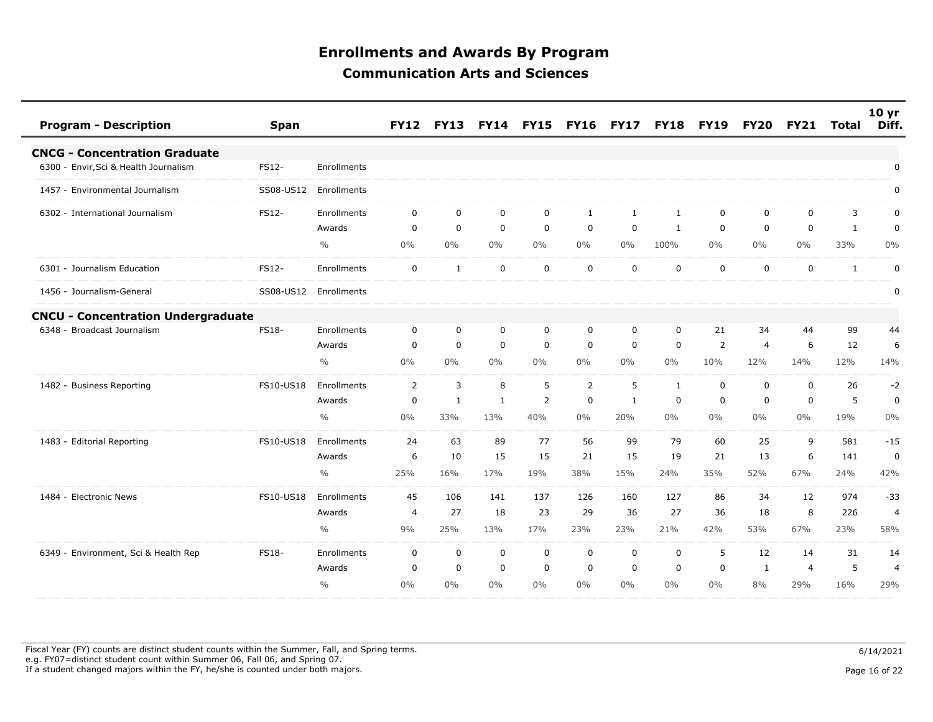| <b>Program - Description</b>              | <b>Span</b>  |               | <b>FY12</b>    | <b>FY13</b>  | <b>FY14</b> | <b>FY15</b>    | <b>FY16</b>    | <b>FY17</b>  | <b>FY18</b>  | <b>FY19</b>    | <b>FY20</b> | <b>FY21</b>    | Total        | 10 <sub>yr</sub><br>Diff. |
|-------------------------------------------|--------------|---------------|----------------|--------------|-------------|----------------|----------------|--------------|--------------|----------------|-------------|----------------|--------------|---------------------------|
| <b>CNCG - Concentration Graduate</b>      |              |               |                |              |             |                |                |              |              |                |             |                |              |                           |
| 6300 - Envir, Sci & Health Journalism     | FS12-        | Enrollments   |                |              |             |                |                |              |              |                |             |                |              | $\mathbf 0$               |
| 1457 - Environmental Journalism           | SS08-US12    | Enrollments   |                |              |             |                |                |              |              |                |             |                |              | $\mathbf 0$               |
| 6302 - International Journalism           | FS12-        | Enrollments   | 0              | $\mathbf 0$  | $\mathbf 0$ | 0              | 1              | 1            | $\mathbf{1}$ | 0              | $\mathbf 0$ | $\mathbf 0$    | 3            | 0                         |
|                                           |              | Awards        | 0              | $\mathbf 0$  | $\mathbf 0$ | $\mathbf 0$    | $\mathbf 0$    | $\mathbf 0$  | 1            | $\mathbf 0$    | $\Omega$    | 0              | 1            | 0                         |
|                                           |              | $\frac{0}{0}$ | 0%             | 0%           | $0\%$       | $0\%$          | 0%             | 0%           | 100%         | $0\%$          | $0\%$       | $0\%$          | 33%          | 0%                        |
| 6301 - Journalism Education               | FS12-        | Enrollments   | $\mathbf 0$    | 1            | $\mathbf 0$ | $\mathbf 0$    | $\mathbf 0$    | $\mathbf 0$  | $\mathbf 0$  | $\mathbf 0$    | $\mathbf 0$ | $\mathbf 0$    | $\mathbf{1}$ | $\pmb{0}$                 |
| 1456 - Journalism-General                 | SS08-US12    | Enrollments   |                |              |             |                |                |              |              |                |             |                |              | $\boldsymbol{0}$          |
| <b>CNCU - Concentration Undergraduate</b> |              |               |                |              |             |                |                |              |              |                |             |                |              |                           |
| - Broadcast Journalism<br>6348            | <b>FS18-</b> | Enrollments   | $\mathbf 0$    | $\mathbf 0$  | $\mathbf 0$ | $\mathbf 0$    | $\mathbf 0$    | $\mathbf 0$  | $\mathbf 0$  | 21             | 34          | 44             | 99           | 44                        |
|                                           |              | Awards        | 0              | $\mathbf 0$  | $\mathbf 0$ | $\mathbf 0$    | 0              | $\mathbf 0$  | $\mathbf 0$  | $\overline{2}$ | 4           | 6              | 12           | 6                         |
|                                           |              | $\frac{0}{0}$ | 0%             | $0\%$        | 0%          | $0\%$          | 0%             | $0\%$        | $0\%$        | 10%            | 12%         | 14%            | 12%          | 14%                       |
| 1482 - Business Reporting                 | FS10-US18    | Enrollments   | 2              | 3            | 8           | 5              | $\overline{2}$ | 5            | 1            | $\mathbf 0$    | $\Omega$    | $\mathbf 0$    | 26           | $-2$                      |
|                                           |              | Awards        | $\mathbf 0$    | $\mathbf{1}$ | 1           | $\overline{2}$ | $\mathbf 0$    | $\mathbf{1}$ | $\mathbf 0$  | $\mathbf 0$    | 0           | $\mathbf 0$    | 5            | $\mathbf 0$               |
|                                           |              | $\frac{0}{0}$ | 0%             | 33%          | 13%         | 40%            | $0\%$          | 20%          | $0\%$        | $0\%$          | $0\%$       | $0\%$          | 19%          | $0\%$                     |
| 1483 - Editorial Reporting                | FS10-US18    | Enrollments   | 24             | 63           | 89          | 77             | 56             | 99           | 79           | 60             | 25          | 9              | 581          | $-15$                     |
|                                           |              | Awards        | 6              | 10           | 15          | 15             | 21             | 15           | 19           | 21             | 13          | 6              | 141          | $\mathbf 0$               |
|                                           |              | $\frac{0}{0}$ | 25%            | 16%          | 17%         | 19%            | 38%            | 15%          | 24%          | 35%            | 52%         | 67%            | 24%          | 42%                       |
| 1484 - Electronic News                    | FS10-US18    | Enrollments   | 45             | 106          | 141         | 137            | 126            | 160          | 127          | 86             | 34          | 12             | 974          | $-33$                     |
|                                           |              | Awards        | $\overline{4}$ | 27           | 18          | 23             | 29             | 36           | 27           | 36             | 18          | 8              | 226          | $\overline{4}$            |
|                                           |              | $\frac{0}{0}$ | 9%             | 25%          | 13%         | 17%            | 23%            | 23%          | 21%          | 42%            | 53%         | 67%            | 23%          | 58%                       |
| 6349 - Environment, Sci & Health Rep      | <b>FS18-</b> | Enrollments   | 0              | $\mathbf 0$  | $\mathbf 0$ | $\mathbf 0$    | $\mathbf 0$    | $\mathbf 0$  | $\mathbf 0$  | 5              | 12          | 14             | 31           | 14                        |
|                                           |              | Awards        | $\mathbf 0$    | $\mathbf 0$  | $\mathbf 0$ | $\mathbf 0$    | $\mathbf 0$    | $\Omega$     | $\mathbf 0$  | $\mathbf 0$    | 1           | $\overline{4}$ | 5            | $\overline{4}$            |
|                                           |              | $\frac{0}{0}$ | 0%             | 0%           | 0%          | $0\%$          | 0%             | $0\%$        | $0\%$        | $0\%$          | 8%          | 29%            | 16%          | 29%                       |

Fiscal Year (FY) counts are distinct student counts within the Summer, Fall, and Spring terms.  $6/14/2021$  e.g. FY07=distinct student count within Summer 06, Fall 06, and Spring 07. If a student changed majors within the FY, he/she is counted under both majors. Page 16 of 22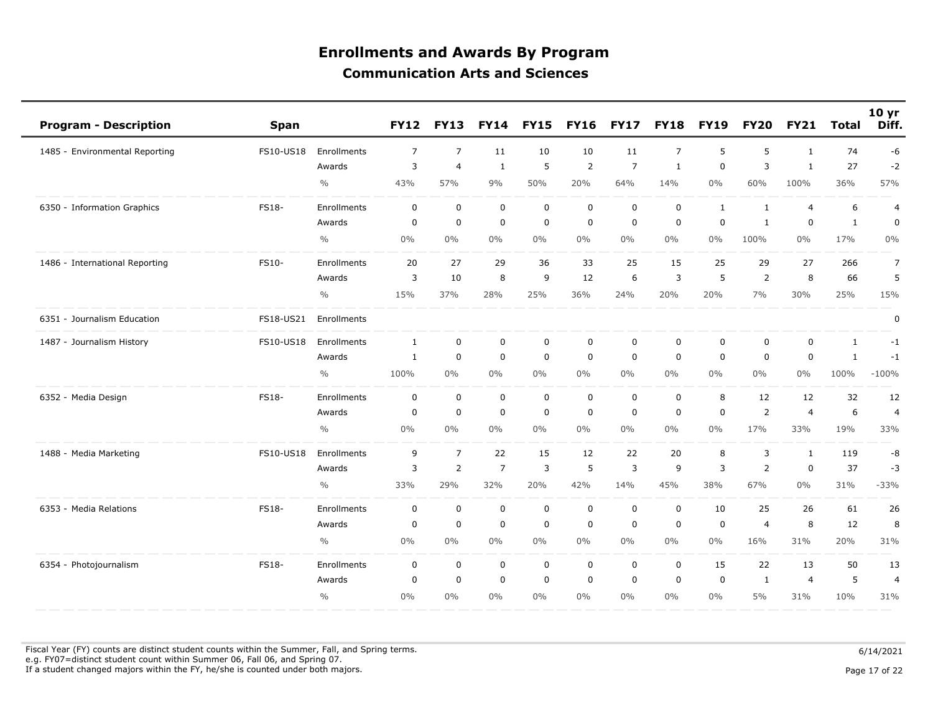| <b>Program - Description</b>   | <b>Span</b>      |               | <b>FY12</b>  | <b>FY13</b>    | <b>FY14</b>    | <b>FY15</b> | <b>FY16</b> | <b>FY17</b>    | <b>FY18</b>    | <b>FY19</b>  | <b>FY20</b>  | <b>FY21</b>    | <b>Total</b> | 10 <sub>yr</sub><br>Diff. |
|--------------------------------|------------------|---------------|--------------|----------------|----------------|-------------|-------------|----------------|----------------|--------------|--------------|----------------|--------------|---------------------------|
| 1485 - Environmental Reporting | FS10-US18        | Enrollments   | 7            | $\overline{7}$ | 11             | 10          | 10          | 11             | $\overline{7}$ | 5            | 5            | $\mathbf{1}$   | 74           | -6                        |
|                                |                  | Awards        | 3            | $\overline{4}$ | $\mathbf{1}$   | 5           | 2           | $\overline{7}$ | $\mathbf{1}$   | $\mathbf 0$  | 3            | $\mathbf{1}$   | 27           | $-2$                      |
|                                |                  | $\frac{0}{0}$ | 43%          | 57%            | 9%             | 50%         | 20%         | 64%            | 14%            | $0\%$        | 60%          | 100%           | 36%          | 57%                       |
| 6350 - Information Graphics    | FS18-            | Enrollments   | 0            | $\mathbf 0$    | $\mathbf 0$    | $\mathbf 0$ | $\mathbf 0$ | $\mathbf 0$    | $\mathbf 0$    | $\mathbf{1}$ | $\mathbf{1}$ | $\overline{4}$ | 6            | $\overline{a}$            |
|                                |                  | Awards        | 0            | 0              | $\mathbf 0$    | $\mathbf 0$ | $\mathbf 0$ | $\mathbf 0$    | $\mathbf 0$    | $\mathbf 0$  | 1            | 0              | $\mathbf{1}$ | $\mathbf 0$               |
|                                |                  | $\frac{0}{0}$ | $0\%$        | 0%             | 0%             | 0%          | 0%          | 0%             | $0\%$          | $0\%$        | 100%         | $0\%$          | 17%          | 0%                        |
| 1486 - International Reporting | FS10-            | Enrollments   | 20           | 27             | 29             | 36          | 33          | 25             | 15             | 25           | 29           | 27             | 266          | $\overline{7}$            |
|                                |                  | Awards        | 3            | 10             | 8              | 9           | 12          | 6              | 3              | 5            | 2            | 8              | 66           | 5                         |
|                                |                  | $\frac{0}{0}$ | 15%          | 37%            | 28%            | 25%         | 36%         | 24%            | 20%            | 20%          | 7%           | 30%            | 25%          | 15%                       |
| 6351 - Journalism Education    | FS18-US21        | Enrollments   |              |                |                |             |             |                |                |              |              |                |              | $\mathbf 0$               |
| 1487 - Journalism History      | <b>FS10-US18</b> | Enrollments   | $\mathbf{1}$ | $\mathbf 0$    | $\mathbf 0$    | $\mathsf 0$ | $\mathbf 0$ | $\mathbf 0$    | 0              | 0            | 0            | $\mathbf 0$    | $\mathbf{1}$ | $-1$                      |
|                                |                  | Awards        | 1            | $\mathbf 0$    | $\pmb{0}$      | $\mathbf 0$ | $\mathbf 0$ | $\mathbf 0$    | $\mathbf 0$    | $\mathbf 0$  | $\mathbf 0$  | 0              | $\mathbf{1}$ | $-1$                      |
|                                |                  | $\frac{0}{0}$ | 100%         | 0%             | 0%             | 0%          | 0%          | $0\%$          | $0\%$          | $0\%$        | $0\%$        | $0\%$          | 100%         | $-100%$                   |
| 6352 - Media Design            | FS18-            | Enrollments   | $\mathbf 0$  | $\mathbf 0$    | $\mathbf 0$    | $\mathbf 0$ | $\mathbf 0$ | $\mathbf 0$    | $\mathbf 0$    | 8            | 12           | 12             | 32           | 12                        |
|                                |                  | Awards        | 0            | 0              | $\mathbf 0$    | $\mathbf 0$ | $\mathbf 0$ | 0              | $\mathbf 0$    | $\mathbf 0$  | 2            | $\overline{4}$ | 6            | $\overline{4}$            |
|                                |                  | $\frac{0}{0}$ | $0\%$        | 0%             | 0%             | $0\%$       | 0%          | $0\%$          | $0\%$          | $0\%$        | 17%          | 33%            | 19%          | 33%                       |
| 1488 - Media Marketing         | FS10-US18        | Enrollments   | 9            | $\overline{7}$ | 22             | 15          | 12          | 22             | 20             | 8            | 3            | 1              | 119          | -8                        |
|                                |                  | Awards        | 3            | $\overline{2}$ | $\overline{7}$ | 3           | 5           | 3              | 9              | 3            | 2            | $\mathbf 0$    | 37           | $-3$                      |
|                                |                  | $\frac{0}{0}$ | 33%          | 29%            | 32%            | 20%         | 42%         | 14%            | 45%            | 38%          | 67%          | $0\%$          | 31%          | $-33%$                    |
| 6353 - Media Relations         | <b>FS18-</b>     | Enrollments   | $\mathbf 0$  | $\mathbf 0$    | $\mathbf 0$    | $\mathbf 0$ | $\mathbf 0$ | $\mathbf 0$    | $\mathbf 0$    | 10           | 25           | 26             | 61           | 26                        |
|                                |                  | Awards        | 0            | 0              | $\mathbf 0$    | $\mathbf 0$ | $\mathbf 0$ | 0              | $\mathbf 0$    | $\mathbf 0$  | 4            | 8              | 12           | 8                         |
|                                |                  | $\frac{0}{0}$ | $0\%$        | $0\%$          | $0\%$          | $0\%$       | 0%          | $0\%$          | $0\%$          | $0\%$        | 16%          | 31%            | 20%          | 31%                       |
| 6354 - Photojournalism         | FS18-            | Enrollments   | 0            | 0              | $\mathsf 0$    | $\mathsf 0$ | 0           | 0              | $\mathbf 0$    | 15           | 22           | 13             | 50           | 13                        |
|                                |                  | Awards        | $\mathbf 0$  | $\mathbf 0$    | $\mathbf 0$    | $\mathbf 0$ | $\mathbf 0$ | 0              | $\mathbf 0$    | $\mathbf 0$  | 1            | $\overline{4}$ | 5            | $\overline{4}$            |
|                                |                  | $\frac{0}{0}$ | $0\%$        | $0\%$          | 0%             | $0\%$       | 0%          | $0\%$          | $0\%$          | $0\%$        | 5%           | 31%            | 10%          | 31%                       |

Fiscal Year (FY) counts are distinct student counts within the Summer, Fall, and Spring terms.  $6/14/2021$  e.g. FY07=distinct student count within Summer 06, Fall 06, and Spring 07. If a student changed majors within the FY, he/she is counted under both majors. Page 17 of 22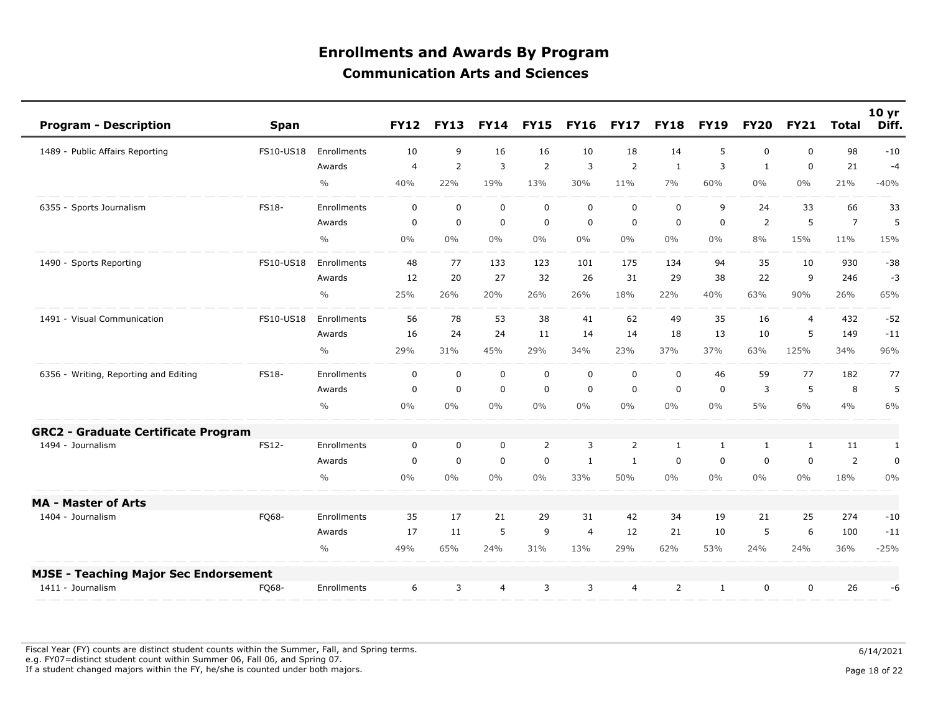| <b>Program - Description</b>                 | <b>Span</b>  |               | <b>FY12</b>    | <b>FY13</b>    | <b>FY14</b> | <b>FY15</b>    | <b>FY16</b>    | <b>FY17</b>    | <b>FY18</b>      | <b>FY19</b>  | <b>FY20</b>    | <b>FY21</b>    | <b>Total</b>   | 10 <sub>yr</sub><br>Diff. |
|----------------------------------------------|--------------|---------------|----------------|----------------|-------------|----------------|----------------|----------------|------------------|--------------|----------------|----------------|----------------|---------------------------|
| 1489 - Public Affairs Reporting              | FS10-US18    | Enrollments   | 10             | 9              | 16          | 16             | 10             | 18             | 14               | 5            | $\mathbf 0$    | $\mathbf{0}$   | 98             | $-10$                     |
|                                              |              | Awards        | $\overline{4}$ | $\overline{2}$ | 3           | $\overline{2}$ | 3              | $\overline{2}$ | $\mathbf{1}$     | 3            | $\mathbf{1}$   | $\mathbf 0$    | 21             | $-4$                      |
|                                              |              | $\frac{0}{0}$ | 40%            | 22%            | 19%         | 13%            | 30%            | 11%            | 7%               | 60%          | $0\%$          | $0\%$          | 21%            | $-40%$                    |
| 6355 - Sports Journalism                     | <b>FS18-</b> | Enrollments   | $\mathbf 0$    | $\mathbf 0$    | $\mathbf 0$ | $\mathbf 0$    | $\mathbf{0}$   | $\mathbf 0$    | $\mathbf 0$      | 9            | 24             | 33             | 66             | 33                        |
|                                              |              | Awards        | $\mathbf 0$    | $\mathbf 0$    | $\mathbf 0$ | $\mathbf 0$    | $\mathbf 0$    | $\mathbf 0$    | $\boldsymbol{0}$ | $\mathbf 0$  | $\overline{2}$ | 5              | $\overline{7}$ | 5                         |
|                                              |              | $\frac{0}{0}$ | 0%             | $0\%$          | $0\%$       | $0\%$          | $0\%$          | $0\%$          | $0\%$            | $0\%$        | 8%             | 15%            | 11%            | 15%                       |
| 1490 - Sports Reporting                      | FS10-US18    | Enrollments   | 48             | 77             | 133         | 123            | 101            | 175            | 134              | 94           | 35             | 10             | 930            | $-38$                     |
|                                              |              | Awards        | 12             | 20             | 27          | 32             | 26             | 31             | 29               | 38           | 22             | 9              | 246            | $-3$                      |
|                                              |              | $\frac{0}{0}$ | 25%            | 26%            | 20%         | 26%            | 26%            | 18%            | 22%              | 40%          | 63%            | 90%            | 26%            | 65%                       |
| 1491 - Visual Communication                  | FS10-US18    | Enrollments   | 56             | 78             | 53          | 38             | 41             | 62             | 49               | 35           | 16             | $\overline{4}$ | 432            | $-52$                     |
|                                              |              | Awards        | 16             | 24             | 24          | 11             | 14             | 14             | 18               | 13           | 10             | 5              | 149            | $-11$                     |
|                                              |              | $\frac{0}{0}$ | 29%            | 31%            | 45%         | 29%            | 34%            | 23%            | 37%              | 37%          | 63%            | 125%           | 34%            | 96%                       |
| 6356 - Writing, Reporting and Editing        | <b>FS18-</b> | Enrollments   | $\mathbf 0$    | $\mathbf 0$    | $\mathbf 0$ | $\mathbf 0$    | $\mathbf 0$    | $\mathbf 0$    | $\mathbf 0$      | 46           | 59             | 77             | 182            | 77                        |
|                                              |              | Awards        | $\Omega$       | $\mathbf 0$    | $\mathbf 0$ | $\mathbf 0$    | $\mathbf 0$    | $\mathbf 0$    | $\mathbf 0$      | $\Omega$     | 3              | 5              | 8              | 5                         |
|                                              |              | $\frac{0}{0}$ | $0\%$          | 0%             | $0\%$       | $0\%$          | $0\%$          | $0\%$          | $0\%$            | $0\%$        | $5\%$          | 6%             | 4%             | 6%                        |
| <b>GRC2 - Graduate Certificate Program</b>   |              |               |                |                |             |                |                |                |                  |              |                |                |                |                           |
| 1494 - Journalism                            | FS12-        | Enrollments   | 0              | 0              | 0           | 2              | 3              | 2              | $\mathbf{1}$     | $\mathbf{1}$ | $\mathbf{1}$   | 1              | 11             | 1                         |
|                                              |              | Awards        | $\Omega$       | $\mathbf 0$    | $\mathbf 0$ | $\mathbf 0$    | $\mathbf{1}$   | $\mathbf{1}$   | $\mathbf 0$      | $\mathbf 0$  | $\mathbf{0}$   | $\mathbf 0$    | $\overline{2}$ | $\mathbf 0$               |
|                                              |              | $\frac{0}{0}$ | 0%             | $0\%$          | $0\%$       | $0\%$          | 33%            | 50%            | $0\%$            | $0\%$        | $0\%$          | $0\%$          | 18%            | $0\%$                     |
| <b>MA - Master of Arts</b>                   |              |               |                |                |             |                |                |                |                  |              |                |                |                |                           |
| 1404 - Journalism                            | FQ68-        | Enrollments   | 35             | 17             | 21          | 29             | 31             | 42             | 34               | 19           | 21             | 25             | 274            | $-10$                     |
|                                              |              | Awards        | 17             | 11             | 5           | 9              | $\overline{4}$ | 12             | 21               | 10           | 5              | 6              | 100            | $-11$                     |
|                                              |              | $\frac{0}{0}$ | 49%            | 65%            | 24%         | 31%            | 13%            | 29%            | 62%              | 53%          | 24%            | 24%            | 36%            | $-25%$                    |
| <b>MJSE - Teaching Major Sec Endorsement</b> |              |               |                |                |             |                |                |                |                  |              |                |                |                |                           |
| 1411 - Journalism                            | FQ68-        | Enrollments   | 6              | 3              | 4           | 3              | 3              | $\overline{4}$ | 2                | 1            | $\mathbf 0$    | $\mathbf 0$    | 26             | -6                        |

Fiscal Year (FY) counts are distinct student counts within the Summer, Fall, and Spring terms.  $6/14/2021$  e.g. FY07=distinct student count within Summer 06, Fall 06, and Spring 07. If a student changed majors within the FY, he/she is counted under both majors. Page 18 of 22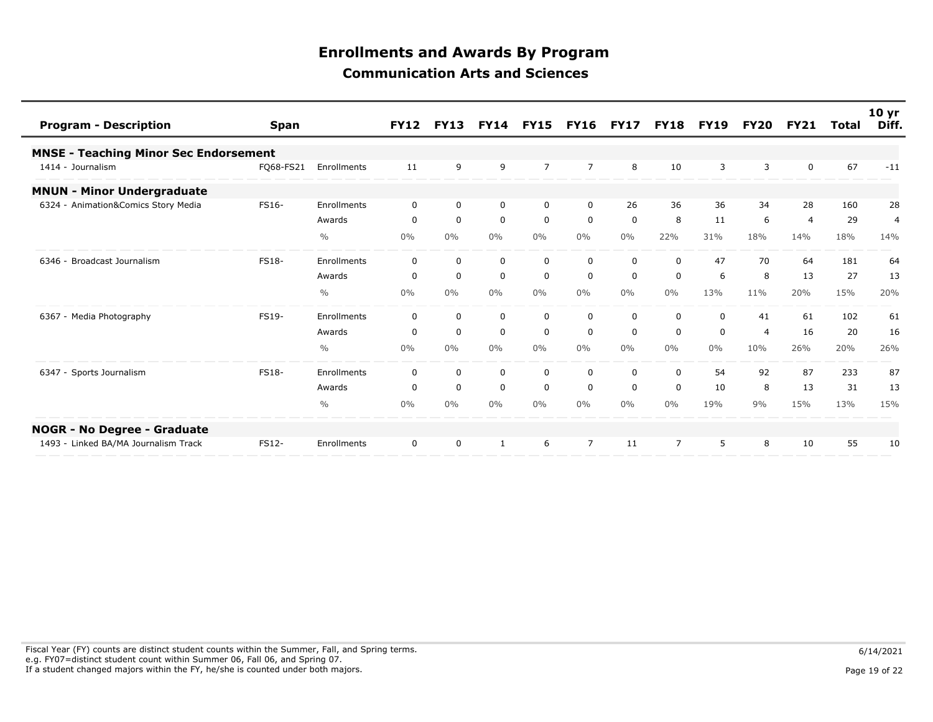| <b>Program - Description</b>                 | <b>Span</b>  |               | <b>FY12</b> | <b>FY13</b> | <b>FY14</b>  | <b>FY15</b>    | <b>FY16</b>    | <b>FY17</b>  | <b>FY18</b>    | <b>FY19</b>  | <b>FY20</b> | <b>FY21</b>    | Total | 10 <sub>yr</sub><br>Diff. |
|----------------------------------------------|--------------|---------------|-------------|-------------|--------------|----------------|----------------|--------------|----------------|--------------|-------------|----------------|-------|---------------------------|
| <b>MNSE - Teaching Minor Sec Endorsement</b> |              |               |             |             |              |                |                |              |                |              |             |                |       |                           |
| 1414 - Journalism                            | FQ68-FS21    | Enrollments   | 11          | 9           | 9            | $\overline{7}$ | $\overline{7}$ | 8            | 10             | 3            | 3           | $\Omega$       | 67    | $-11$                     |
| <b>MNUN - Minor Undergraduate</b>            |              |               |             |             |              |                |                |              |                |              |             |                |       |                           |
| 6324 - Animation&Comics Story Media          | FS16-        | Enrollments   | $\Omega$    | $\mathbf 0$ | $\mathbf 0$  | $\mathbf 0$    | $\Omega$       | 26           | 36             | 36           | 34          | 28             | 160   | 28                        |
|                                              |              | Awards        | 0           | $\mathbf 0$ | $\mathbf 0$  | $\mathbf 0$    | $\mathbf 0$    | $\mathbf 0$  | 8              | 11           | 6           | $\overline{4}$ | 29    | $\overline{4}$            |
|                                              |              | $\frac{0}{0}$ | $0\%$       | $0\%$       | $0\%$        | $0\%$          | $0\%$          | $0\%$        | 22%            | 31%          | 18%         | 14%            | 18%   | 14%                       |
| 6346 - Broadcast Journalism                  | <b>FS18-</b> | Enrollments   | $\Omega$    | $\mathbf 0$ | $\mathbf 0$  | $\mathbf 0$    | $\Omega$       | $\mathbf{0}$ | $\Omega$       | 47           | 70          | 64             | 181   | 64                        |
|                                              |              | Awards        | 0           | $\mathbf 0$ | $\mathbf 0$  | 0              | 0              | 0            | 0              | 6            | 8           | 13             | 27    | 13                        |
|                                              |              | $\frac{0}{0}$ | 0%          | $0\%$       | 0%           | $0\%$          | $0\%$          | $0\%$        | $0\%$          | 13%          | 11%         | 20%            | 15%   | 20%                       |
| 6367<br>- Media Photography                  | FS19-        | Enrollments   | $\Omega$    | $\Omega$    | $\mathbf 0$  | $\mathbf 0$    | $\Omega$       | $\mathbf 0$  | $\mathbf 0$    | $\mathbf{0}$ | 41          | 61             | 102   | 61                        |
|                                              |              | Awards        | $\Omega$    | $\mathbf 0$ | $\mathbf 0$  | $\mathbf 0$    | $\mathbf 0$    | $\Omega$     | $\Omega$       | $\Omega$     | 4           | 16             | 20    | 16                        |
|                                              |              | $\frac{0}{0}$ | $0\%$       | $0\%$       | $0\%$        | $0\%$          | $0\%$          | $0\%$        | $0\%$          | $0\%$        | 10%         | 26%            | 20%   | 26%                       |
| 6347 - Sports Journalism                     | <b>FS18-</b> | Enrollments   | $\Omega$    | $\mathbf 0$ | $\mathbf 0$  | $\mathbf 0$    | $\Omega$       | $\Omega$     | $\mathbf 0$    | 54           | 92          | 87             | 233   | 87                        |
|                                              |              | Awards        | $\mathbf 0$ | $\mathbf 0$ | $\mathbf 0$  | $\mathbf 0$    | $\mathbf 0$    | $\mathbf 0$  | $\mathbf 0$    | 10           | 8           | 13             | 31    | 13                        |
|                                              |              | $\frac{0}{0}$ | $0\%$       | $0\%$       | $0\%$        | $0\%$          | $0\%$          | $0\%$        | $0\%$          | 19%          | 9%          | 15%            | 13%   | 15%                       |
| <b>NOGR - No Degree - Graduate</b>           |              |               |             |             |              |                |                |              |                |              |             |                |       |                           |
| 1493 - Linked BA/MA Journalism Track         | FS12-        | Enrollments   | $\mathbf 0$ | $\mathbf 0$ | $\mathbf{1}$ | 6              | $\overline{7}$ | 11           | $\overline{7}$ | 5            | 8           | 10             | 55    | 10                        |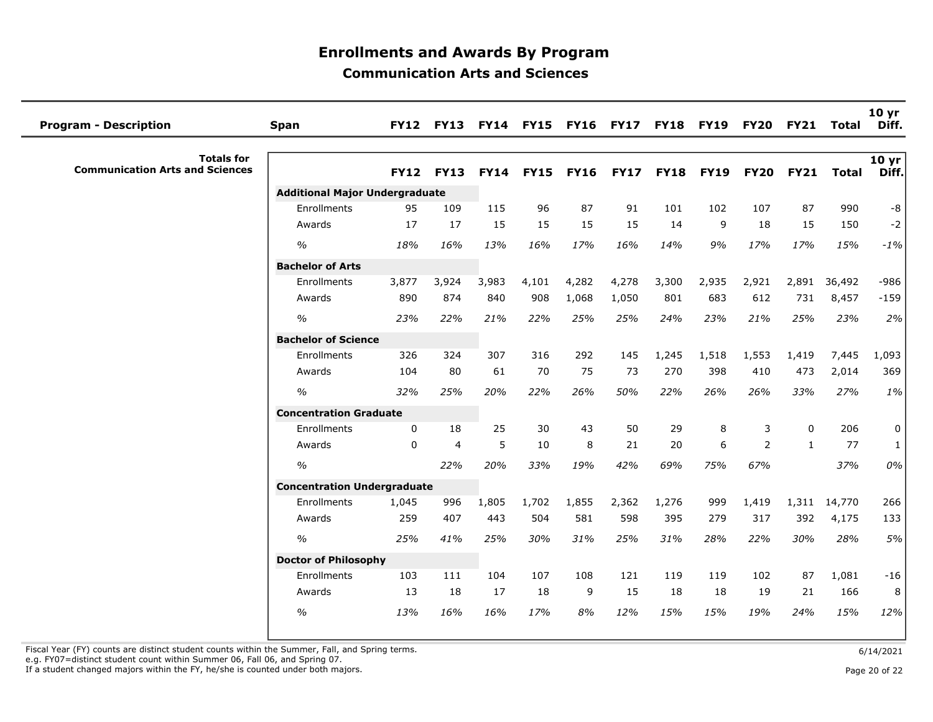| <b>Program - Description</b>                                | <b>Span</b>                           |             | <b>FY12 FY13</b> |             |             | FY14 FY15 FY16 FY17 |             | <b>FY18</b> | <b>FY19</b> | <b>FY20</b>    | <b>FY21</b>  | <b>Total</b> | 10 <sub>yr</sub><br>Diff. |
|-------------------------------------------------------------|---------------------------------------|-------------|------------------|-------------|-------------|---------------------|-------------|-------------|-------------|----------------|--------------|--------------|---------------------------|
| <b>Totals for</b><br><b>Communication Arts and Sciences</b> |                                       | <b>FY12</b> | <b>FY13</b>      | <b>FY14</b> | <b>FY15</b> | <b>FY16</b>         | <b>FY17</b> | <b>FY18</b> | <b>FY19</b> | <b>FY20</b>    | <b>FY21</b>  | <b>Total</b> | 10 yr<br>Diff.            |
|                                                             | <b>Additional Major Undergraduate</b> |             |                  |             |             |                     |             |             |             |                |              |              |                           |
|                                                             | Enrollments                           | 95          | 109              | 115         | 96          | 87                  | 91          | 101         | 102         | 107            | 87           | 990          | $^{\rm -8}$               |
|                                                             | Awards                                | 17          | 17               | 15          | 15          | 15                  | 15          | 14          | 9           | 18             | 15           | 150          | $-2$                      |
|                                                             | $\frac{1}{2}$                         | 18%         | 16%              | 13%         | 16%         | 17%                 | 16%         | 14%         | 9%          | 17%            | 17%          | 15%          | $-1%$                     |
|                                                             | <b>Bachelor of Arts</b>               |             |                  |             |             |                     |             |             |             |                |              |              |                           |
|                                                             | Enrollments                           | 3,877       | 3,924            | 3,983       | 4,101       | 4,282               | 4,278       | 3,300       | 2,935       | 2,921          | 2,891        | 36,492       | $-986$                    |
|                                                             | Awards                                | 890         | 874              | 840         | 908         | 1,068               | 1,050       | 801         | 683         | 612            | 731          | 8,457        | $-159$                    |
|                                                             | $\frac{1}{2}$                         | 23%         | 22%              | 21%         | 22%         | 25%                 | 25%         | 24%         | 23%         | 21%            | 25%          | 23%          | 2%                        |
|                                                             | <b>Bachelor of Science</b>            |             |                  |             |             |                     |             |             |             |                |              |              |                           |
|                                                             | Enrollments                           | 326         | 324              | 307         | 316         | 292                 | 145         | 1,245       | 1,518       | 1,553          | 1,419        | 7,445        | 1,093                     |
|                                                             | Awards                                | 104         | 80               | 61          | 70          | 75                  | 73          | 270         | 398         | 410            | 473          | 2,014        | 369                       |
|                                                             | $\frac{1}{2}$                         | 32%         | 25%              | 20%         | 22%         | 26%                 | 50%         | 22%         | 26%         | 26%            | 33%          | 27%          | $1\%$                     |
|                                                             | <b>Concentration Graduate</b>         |             |                  |             |             |                     |             |             |             |                |              |              |                           |
|                                                             | Enrollments                           | $\mathbf 0$ | 18               | 25          | 30          | 43                  | 50          | 29          | 8           | 3              | $\mathbf 0$  | 206          | 0                         |
|                                                             | Awards                                | 0           | $\overline{4}$   | 5           | 10          | 8                   | 21          | 20          | 6           | $\overline{2}$ | $\mathbf{1}$ | 77           | $\mathbf{1}$              |
|                                                             | $\frac{1}{2}$                         |             | 22%              | 20%         | 33%         | 19%                 | 42%         | 69%         | 75%         | 67%            |              | 37%          | 0%                        |
|                                                             | <b>Concentration Undergraduate</b>    |             |                  |             |             |                     |             |             |             |                |              |              |                           |
|                                                             | Enrollments                           | 1,045       | 996              | 1,805       | 1,702       | 1,855               | 2,362       | 1,276       | 999         | 1,419          | 1,311        | 14,770       | 266                       |
|                                                             | Awards                                | 259         | 407              | 443         | 504         | 581                 | 598         | 395         | 279         | 317            | 392          | 4,175        | 133                       |
|                                                             | $\frac{1}{2}$                         | 25%         | 41%              | 25%         | 30%         | 31%                 | 25%         | 31%         | 28%         | 22%            | 30%          | 28%          | 5%                        |
|                                                             | <b>Doctor of Philosophy</b>           |             |                  |             |             |                     |             |             |             |                |              |              |                           |
|                                                             | Enrollments                           | 103         | 111              | 104         | 107         | 108                 | 121         | 119         | 119         | 102            | 87           | 1,081        | $-16$                     |
|                                                             | Awards                                | 13          | 18               | 17          | 18          | 9                   | 15          | 18          | 18          | 19             | 21           | 166          | 8                         |
|                                                             | $\frac{1}{2}$                         | 13%         | 16%              | 16%         | 17%         | 8%                  | 12%         | 15%         | 15%         | 19%            | 24%          | 15%          | 12%                       |
|                                                             |                                       |             |                  |             |             |                     |             |             |             |                |              |              |                           |

Fiscal Year (FY) counts are distinct student counts within the Summer, Fall, and Spring terms.<br>e.g. FY07=distinct student count within Summer 06, Fall 06, and Spring 07.

If a student changed majors within the FY, he/she is counted under both majors. Page 20 of 22 page 20 of 22 page 20 of 22 page 20 of 22 page 20 of 22 page 20 of 22 page 20 of 22 page 20 of 22 page 20 of 22 page 20 of 22 pa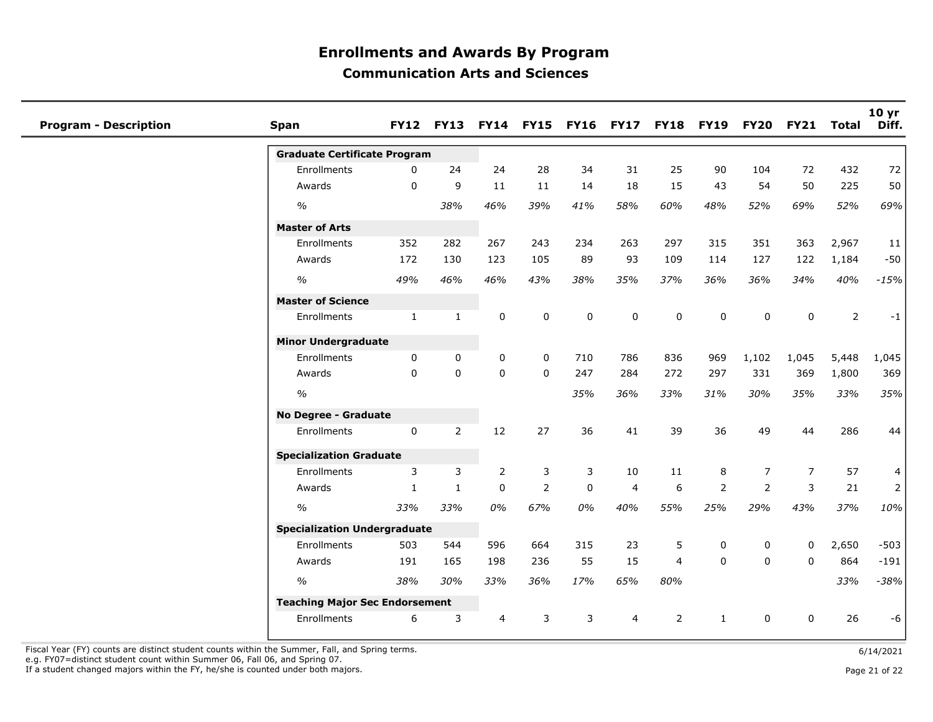| <b>Program - Description</b> | <b>Span</b>                           |              | FY12 FY13 FY14 FY15 FY16 FY17 |                |                |             |                |                | <b>FY18 FY19</b> | <b>FY20</b>    | <b>FY21</b>    | Total          | 10 yr<br>Diff. |
|------------------------------|---------------------------------------|--------------|-------------------------------|----------------|----------------|-------------|----------------|----------------|------------------|----------------|----------------|----------------|----------------|
|                              | <b>Graduate Certificate Program</b>   |              |                               |                |                |             |                |                |                  |                |                |                |                |
|                              | Enrollments                           | $\mathbf 0$  | 24                            | 24             | 28             | 34          | 31             | 25             | 90               | 104            | 72             | 432            | 72             |
|                              | Awards                                | $\mathbf 0$  | 9                             | 11             | 11             | 14          | 18             | 15             | 43               | 54             | 50             | 225            | 50             |
|                              | $\frac{1}{2}$                         |              | 38%                           | 46%            | 39%            | 41%         | 58%            | 60%            | 48%              | 52%            | 69%            | 52%            | 69%            |
|                              | <b>Master of Arts</b>                 |              |                               |                |                |             |                |                |                  |                |                |                |                |
|                              | Enrollments                           | 352          | 282                           | 267            | 243            | 234         | 263            | 297            | 315              | 351            | 363            | 2,967          | 11             |
|                              | Awards                                | 172          | 130                           | 123            | 105            | 89          | 93             | 109            | 114              | 127            | 122            | 1,184          | $-50$          |
|                              | $\frac{1}{2}$                         | 49%          | 46%                           | 46%            | 43%            | 38%         | 35%            | 37%            | 36%              | 36%            | 34%            | 40%            | $-15%$         |
|                              | <b>Master of Science</b>              |              |                               |                |                |             |                |                |                  |                |                |                |                |
|                              | Enrollments                           | $\mathbf{1}$ | $\mathbf{1}$                  | 0              | 0              | 0           | 0              | 0              | 0                | 0              | 0              | $\overline{2}$ | $-1$           |
|                              | <b>Minor Undergraduate</b>            |              |                               |                |                |             |                |                |                  |                |                |                |                |
|                              | Enrollments                           | $\mathbf 0$  | 0                             | 0              | 0              | 710         | 786            | 836            | 969              | 1,102          | 1,045          | 5,448          | 1,045          |
|                              | Awards                                | $\mathbf 0$  | $\mathbf 0$                   | $\mathbf 0$    | $\mathbf 0$    | 247         | 284            | 272            | 297              | 331            | 369            | 1,800          | 369            |
|                              | $\frac{1}{2}$                         |              |                               |                |                | 35%         | 36%            | 33%            | 31%              | 30%            | 35%            | 33%            | 35%            |
|                              | No Degree - Graduate                  |              |                               |                |                |             |                |                |                  |                |                |                |                |
|                              | Enrollments                           | $\mathbf 0$  | $\overline{2}$                | 12             | 27             | 36          | 41             | 39             | 36               | 49             | 44             | 286            | 44             |
|                              | <b>Specialization Graduate</b>        |              |                               |                |                |             |                |                |                  |                |                |                |                |
|                              | Enrollments                           | 3            | 3                             | 2              | 3              | 3           | 10             | 11             | 8                | $\overline{7}$ | $\overline{7}$ | 57             | 4              |
|                              | Awards                                | $\mathbf{1}$ | $\mathbf{1}$                  | $\pmb{0}$      | $\overline{2}$ | $\mathbf 0$ | $\overline{4}$ | 6              | $\overline{2}$   | $\overline{2}$ | 3              | 21             | 2              |
|                              | $\frac{1}{2}$                         | 33%          | 33%                           | 0%             | 67%            | 0%          | 40%            | 55%            | 25%              | 29%            | 43%            | 37%            | 10%            |
|                              | <b>Specialization Undergraduate</b>   |              |                               |                |                |             |                |                |                  |                |                |                |                |
|                              | Enrollments                           | 503          | 544                           | 596            | 664            | 315         | 23             | 5              | 0                | 0              | $\mathbf 0$    | 2,650          | $-503$         |
|                              | Awards                                | 191          | 165                           | 198            | 236            | 55          | 15             | $\overline{4}$ | $\Omega$         | $\mathbf{0}$   | $\mathbf 0$    | 864            | $-191$         |
|                              | $\frac{0}{0}$                         | 38%          | 30%                           | 33%            | 36%            | 17%         | 65%            | 80%            |                  |                |                | 33%            | $-38%$         |
|                              | <b>Teaching Major Sec Endorsement</b> |              |                               |                |                |             |                |                |                  |                |                |                |                |
|                              | Enrollments                           | 6            | 3                             | $\overline{4}$ | 3              | 3           | $\overline{4}$ | $\overline{2}$ | $\mathbf{1}$     | $\mathbf 0$    | $\mathbf 0$    | 26             | -6             |
|                              |                                       |              |                               |                |                |             |                |                |                  |                |                |                |                |

Fiscal Year (FY) counts are distinct student counts within the Summer, Fall, and Spring terms.  $6/14/2021$ e.g. FY07=distinct student count within Summer 06, Fall 06, and Spring 07.

If a student changed majors within the FY, he/she is counted under both majors. Page 21 of 22 and 22 of 22 and 23 and 21 of 22 and 21 of 22 and 22 and 22 and 22 and 22 and 22 and 22 and 22 and 22 and 22 and 22 and 22 and 2